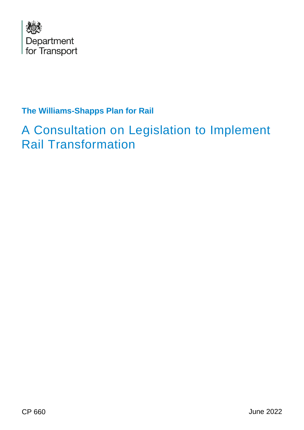

# **The Williams-Shapps Plan for Rail**

# A Consultation on Legislation to Implement Rail Transformation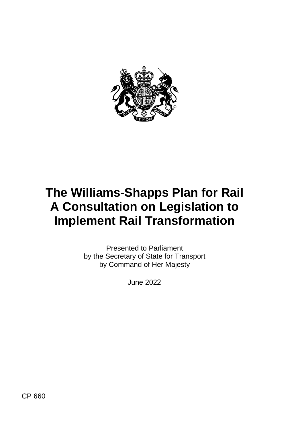

# **The Williams-Shapps Plan for Rail A Consultation on Legislation to Implement Rail Transformation**

 by the Secretary of State for Transport by Command of Her Majesty Presented to Parliament

June 2022

CP 660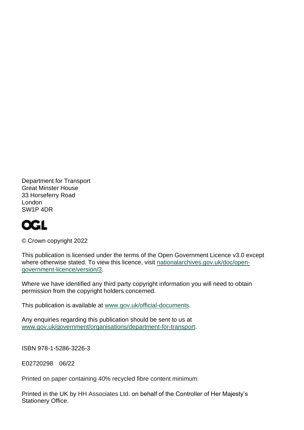Department for Transport Great Minster House 33 Horseferry Road London SW1P 4DR

# **OGL**

© Crown copyright 2022

 This publication is licensed under the terms of the Open Government Licence v3.0 except where otherwise stated. To view this licence, visit [nationalarchives.gov.uk/doc/open](http://www.nationalarchives.gov.uk/doc/open-government-licence/version/3)[government-licence/version/3.](http://www.nationalarchives.gov.uk/doc/open-government-licence/version/3)

 Where we have identified any third party copyright information you will need to obtain permission from the copyright holders concerned.

This publication is available at [www.gov.uk/official-documents.](https://www.gov.uk/government/publications)

 Any enquiries regarding this publication should be sent to us at [www.gov.uk/government/organisations/department-for-transport.](http://www.gov.uk/government/organisations/department-for-transport)

ISBN 978-1-5286-3226-3

E02720298 06/22

Printed on paper containing 40% recycled fibre content minimum.

 Printed in the UK by HH Associates Ltd. on behalf of the Controller of Her Majesty's Stationery Office.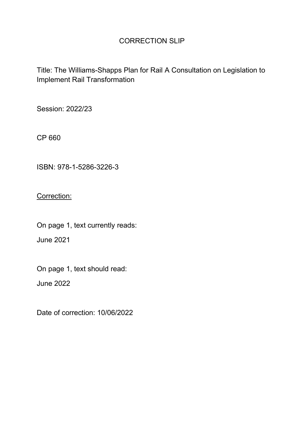## CORRECTION SLIP

Title: The Williams-Shapps Plan for Rail A Consultation on Legislation to Implement Rail Transformation

Session: 2022/23

CP 660

ISBN: 978-1-5286-3226-3

Correction:

On page 1, text currently reads: June 2021

On page 1, text should read:

June 2022

Date of correction: 10/06/2022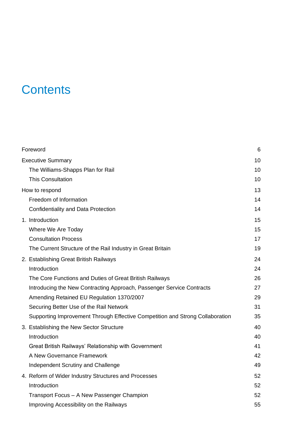# **Contents**

| Foreword                                                                      | 6  |
|-------------------------------------------------------------------------------|----|
| <b>Executive Summary</b>                                                      | 10 |
| The Williams-Shapps Plan for Rail                                             | 10 |
| <b>This Consultation</b>                                                      | 10 |
| How to respond                                                                | 13 |
| Freedom of Information                                                        | 14 |
| Confidentiality and Data Protection                                           | 14 |
| 1. Introduction                                                               | 15 |
| Where We Are Today                                                            | 15 |
| <b>Consultation Process</b>                                                   | 17 |
| The Current Structure of the Rail Industry in Great Britain                   | 19 |
| 2. Establishing Great British Railways                                        | 24 |
| Introduction                                                                  | 24 |
| The Core Functions and Duties of Great British Railways                       | 26 |
| Introducing the New Contracting Approach, Passenger Service Contracts         | 27 |
| Amending Retained EU Regulation 1370/2007                                     | 29 |
| Securing Better Use of the Rail Network                                       | 31 |
| Supporting Improvement Through Effective Competition and Strong Collaboration | 35 |
| 3. Establishing the New Sector Structure                                      | 40 |
| Introduction                                                                  | 40 |
| Great British Railways' Relationship with Government                          | 41 |
| A New Governance Framework                                                    | 42 |
| Independent Scrutiny and Challenge                                            | 49 |
| 4. Reform of Wider Industry Structures and Processes                          | 52 |
| Introduction                                                                  | 52 |
| Transport Focus - A New Passenger Champion                                    | 52 |
| Improving Accessibility on the Railways                                       | 55 |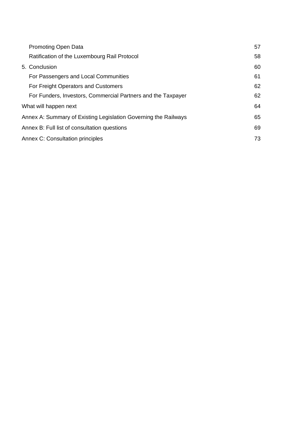| <b>Promoting Open Data</b>                                      | 57 |
|-----------------------------------------------------------------|----|
| Ratification of the Luxembourg Rail Protocol                    | 58 |
| 5. Conclusion                                                   | 60 |
| For Passengers and Local Communities                            | 61 |
| For Freight Operators and Customers                             | 62 |
| For Funders, Investors, Commercial Partners and the Taxpayer    | 62 |
| What will happen next                                           | 64 |
| Annex A: Summary of Existing Legislation Governing the Railways | 65 |
| Annex B: Full list of consultation questions                    | 69 |
| Annex C: Consultation principles                                | 73 |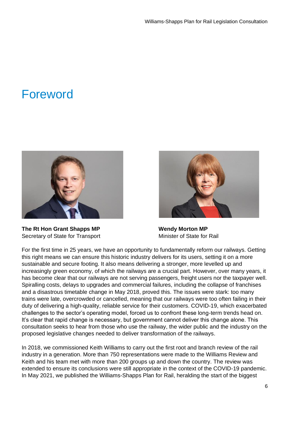# <span id="page-6-0"></span>Foreword



**The Rt Hon Grant Shapps MP**  Secretary of State for Transport



 **Wendy Morton MP**  Minister of State for Rail

 For the first time in 25 years, we have an opportunity to fundamentally reform our railways. Getting this right means we can ensure this historic industry delivers for its users, setting it on a more sustainable and secure footing. It also means delivering a stronger, more levelled up and increasingly green economy, of which the railways are a crucial part. However, over many years, it has become clear that our railways are not serving passengers, freight users nor the taxpayer well. Spiralling costs, delays to upgrades and commercial failures, including the collapse of franchises and a disastrous timetable change in May 2018, proved this. The issues were stark: too many trains were late, overcrowded or cancelled, meaning that our railways were too often failing in their duty of delivering a high-quality, reliable service for their customers. COVID-19, which exacerbated challenges to the sector's operating model, forced us to confront these long-term trends head on. It's clear that rapid change is necessary, but government cannot deliver this change alone. This consultation seeks to hear from those who use the railway, the wider public and the industry on the proposed legislative changes needed to deliver transformation of the railways.

 In 2018, we commissioned Keith Williams to carry out the first root and branch review of the rail industry in a generation. More than 750 representations were made to the Williams Review and Keith and his team met with more than 200 groups up and down the country. The review was extended to ensure its conclusions were still appropriate in the context of the COVID-19 pandemic. In May 2021, we published the Williams-Shapps Plan for Rail, heralding the start of the biggest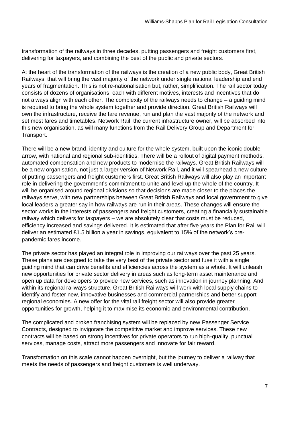transformation of the railways in three decades, putting passengers and freight customers first, delivering for taxpayers, and combining the best of the public and private sectors.

 At the heart of the transformation of the railways is the creation of a new public body, Great British Railways, that will bring the vast majority of the network under single national leadership and end years of fragmentation. This is not re-nationalisation but, rather, simplification. The rail sector today consists of dozens of organisations, each with different motives, interests and incentives that do not always align with each other. The complexity of the railways needs to change – a guiding mind is required to bring the whole system together and provide direction. Great British Railways will own the infrastructure, receive the fare revenue, run and plan the vast majority of the network and set most fares and timetables. Network Rail, the current infrastructure owner, will be absorbed into this new organisation, as will many functions from the Rail Delivery Group and Department for Transport.

 There will be a new brand, identity and culture for the whole system, built upon the iconic double arrow, with national and regional sub-identities. There will be a rollout of digital payment methods, automated compensation and new products to modernise the railways. Great British Railways will be a new organisation, not just a larger version of Network Rail, and it will spearhead a new culture of putting passengers and freight customers first. Great British Railways will also play an important role in delivering the government's commitment to unite and level up the whole of the country. It will be organised around regional divisions so that decisions are made closer to the places the railways serve, with new partnerships between Great British Railways and local government to give local leaders a greater say in how railways are run in their areas. These changes will ensure the sector works in the interests of passengers and freight customers, creating a financially sustainable railway which delivers for taxpayers – we are absolutely clear that costs must be reduced, efficiency increased and savings delivered. It is estimated that after five years the Plan for Rail will deliver an estimated £1.5 billion a year in savings, equivalent to 15% of the network's prepandemic fares income.

 The private sector has played an integral role in improving our railways over the past 25 years. These plans are designed to take the very best of the private sector and fuse it with a single guiding mind that can drive benefits and efficiencies across the system as a whole. It will unleash new opportunities for private sector delivery in areas such as long-term asset maintenance and open up data for developers to provide new services, such as innovation in journey planning. And within its regional railways structure, Great British Railways will work with local supply chains to identify and foster new, innovative businesses and commercial partnerships and better support regional economies. A new offer for the vital rail freight sector will also provide greater opportunities for growth, helping it to maximise its economic and environmental contribution.

 The complicated and broken franchising system will be replaced by new Passenger Service Contracts, designed to invigorate the competitive market and improve services. These new contracts will be based on strong incentives for private operators to run high-quality, punctual services, manage costs, attract more passengers and innovate for fair reward.

 Transformation on this scale cannot happen overnight, but the journey to deliver a railway that meets the needs of passengers and freight customers is well underway.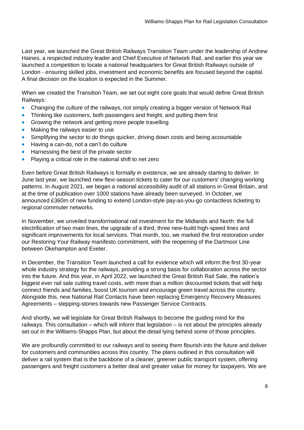Last year, we launched the Great British Railways Transition Team under the leadership of Andrew Haines, a respected industry leader and Chief Executive of Network Rail, and earlier this year we launched a competition to locate a national headquarters for Great British Railways outside of London - ensuring skilled jobs, investment and economic benefits are focused beyond the capital. A final decision on the location is expected in the Summer.

 When we created the Transition Team, we set out eight core goals that would define Great British Railways:

- Changing the culture of the railways, not simply creating a bigger version of Network Rail
- Thinking like customers, both passengers and freight, and putting them first
- Growing the network and getting more people travelling
- Making the railways easier to use
- Simplifying the sector to do things quicker, driving down costs and being accountable
- Having a can-do, not a can't do culture
- Harnessing the best of the private sector
- Playing a critical role in the national shift to net zero

 Even before Great British Railways is formally in existence, we are already starting to deliver. In June last year, we launched new flexi-season tickets to cater for our customers' changing working patterns. In August 2021, we began a national accessibility audit of all stations in Great Britain, and at the time of publication over 1000 stations have already been surveyed. In October, we announced £360m of new funding to extend London-style pay-as-you-go contactless ticketing to regional commuter networks.

 In November, we unveiled transformational rail investment for the Midlands and North: the full electrification of two main lines, the upgrade of a third, three new-build high-speed lines and significant improvements for local services. That month, too, we marked the first restoration under our Restoring Your Railway manifesto commitment, with the reopening of the Dartmoor Line between Okehampton and Exeter.

 In December, the Transition Team launched a call for evidence which will inform the first 30-year whole industry strategy for the railways, providing a strong basis for collaboration across the sector into the future. And this year, in April 2022, we launched the Great British Rail Sale, the nation's biggest ever rail sale cutting travel costs, with more than a million discounted tickets that will help connect friends and families, boost UK tourism and encourage green travel across the country. Alongside this, new National Rail Contacts have been replacing Emergency Recovery Measures Agreements – stepping-stones towards new Passenger Service Contracts.

 And shortly, we will legislate for Great British Railways to become the guiding mind for the railways. This consultation – which will inform that legislation – is not about the principles already set out in the Williams-Shapps Plan, but about the detail lying behind some of those principles.

 We are profoundly committed to our railways and to seeing them flourish into the future and deliver for customers and communities across this country. The plans outlined in this consultation will deliver a rail system that is the backbone of a cleaner, greener public transport system, offering passengers and freight customers a better deal and greater value for money for taxpayers. We are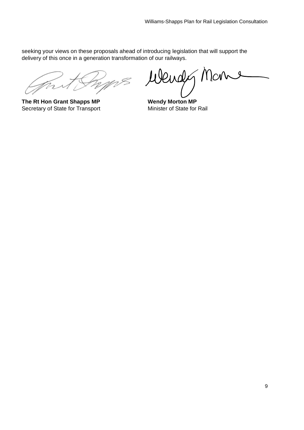seeking your views on these proposals ahead of introducing legislation that will support the delivery of this once in a generation transformation of our railways.

**The Rt Hon Grant Shapps MP**  Secretary of State for Transport

Benes Wendy Man  $\mathcal{S}$ 

<span id="page-9-0"></span>**Wendy Morton MP**  Minister of State for Rail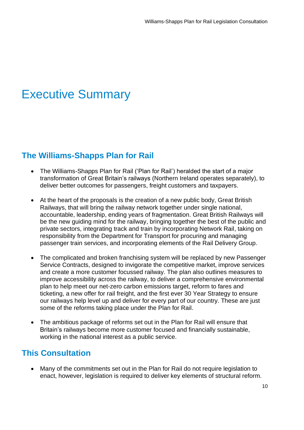# Executive Summary

## <span id="page-10-0"></span> **The Williams-Shapps Plan for Rail**

- • The Williams-Shapps Plan for Rail ('Plan for Rail') heralded the start of a major transformation of Great Britain's railways (Northern Ireland operates separately), to deliver better outcomes for passengers, freight customers and taxpayers.
- • At the heart of the proposals is the creation of a new public body, Great British Railways, that will bring the railway network together under single national, accountable, leadership, ending years of fragmentation. Great British Railways will be the new guiding mind for the railway, bringing together the best of the public and private sectors, integrating track and train by incorporating Network Rail, taking on responsibility from the Department for Transport for procuring and managing passenger train services, and incorporating elements of the Rail Delivery Group.
- • The complicated and broken franchising system will be replaced by new Passenger Service Contracts, designed to invigorate the competitive market, improve services and create a more customer focussed railway. The plan also outlines measures to plan to help meet our net-zero carbon emissions target, reform to fares and ticketing, a new offer for rail freight, and the first ever 30 Year Strategy to ensure our railways help level up and deliver for every part of our country. These are just some of the reforms taking place under the Plan for Rail. improve accessibility across the railway, to deliver a comprehensive environmental
- • The ambitious package of reforms set out in the Plan for Rail will ensure that working in the national interest as a public service. Britain's railways become more customer focused and financially sustainable,

## <span id="page-10-1"></span>**This Consultation**

 • Many of the commitments set out in the Plan for Rail do not require legislation to enact, however, legislation is required to deliver key elements of structural reform.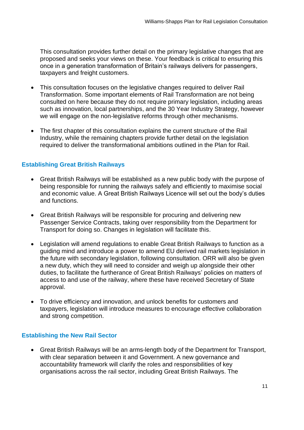This consultation provides further detail on the primary legislative changes that are proposed and seeks your views on these. Your feedback is critical to ensuring this once in a generation transformation of Britain's railways delivers for passengers, taxpayers and freight customers.

- • This consultation focuses on the legislative changes required to deliver Rail Transformation. Some important elements of Rail Transformation are not being consulted on here because they do not require primary legislation, including areas such as innovation, local partnerships, and the 30 Year Industry Strategy, however we will engage on the non-legislative reforms through other mechanisms.
- • The first chapter of this consultation explains the current structure of the Rail Industry, while the remaining chapters provide further detail on the legislation required to deliver the transformational ambitions outlined in the Plan for Rail.

## **Establishing Great British Railways**

- • Great British Railways will be established as a new public body with the purpose of being responsible for running the railways safely and efficiently to maximise social and economic value. A Great British Railways Licence will set out the body's duties and functions.
- • Great British Railways will be responsible for procuring and delivering new Passenger Service Contracts, taking over responsibility from the Department for Transport for doing so. Changes in legislation will facilitate this.
- • Legislation will amend regulations to enable Great British Railways to function as a guiding mind and introduce a power to amend EU derived rail markets legislation in the future with secondary legislation, following consultation. ORR will also be given a new duty, which they will need to consider and weigh up alongside their other duties, to facilitate the furtherance of Great British Railways' policies on matters of access to and use of the railway, where these have received Secretary of State approval.
- • To drive efficiency and innovation, and unlock benefits for customers and taxpayers, legislation will introduce measures to encourage effective collaboration and strong competition.

### **Establishing the New Rail Sector**

 • Great British Railways will be an arms-length body of the Department for Transport, with clear separation between it and Government. A new governance and accountability framework will clarify the roles and responsibilities of key organisations across the rail sector, including Great British Railways. The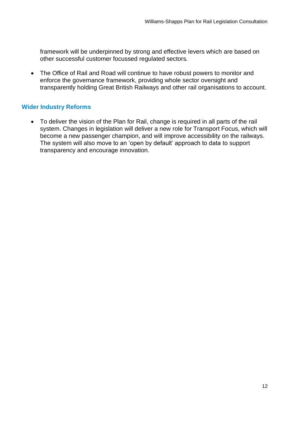framework will be underpinned by strong and effective levers which are based on other successful customer focussed regulated sectors*.* 

 • The Office of Rail and Road will continue to have robust powers to monitor and enforce the governance framework, providing whole sector oversight and transparently holding Great British Railways and other rail organisations to account.

## **Wider Industry Reforms**

 • To deliver the vision of the Plan for Rail, change is required in all parts of the rail system. Changes in legislation will deliver a new role for Transport Focus, which will become a new passenger champion, and will improve accessibility on the railways. The system will also move to an 'open by default' approach to data to support transparency and encourage innovation.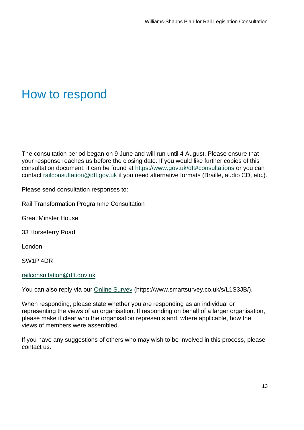# <span id="page-13-0"></span>How to respond

 The consultation period began on 9 June and will run until 4 August. Please ensure that your response reaches us before the closing date. If you would like further copies of this consultation document, it can be found at<https://www.gov.uk/dft#consultations>or you can contact [railconsultation@dft.gov.uk](mailto:railconsultation@dft.gov.uk) if you need alternative formats (Braille, audio CD, etc.).

Please send consultation responses to:

Rail Transformation Programme Consultation

Great Minster House

33 Horseferry Road

London

SW1P 4DR

[railconsultation@dft.gov.uk](mailto:railconsultation@dft.gov.uk) 

You can also reply via our **Online Survey (<https://www.smartsurvey.co.uk/s/L1S3JB>/)**.

 When responding, please state whether you are responding as an individual or representing the views of an organisation. If responding on behalf of a larger organisation, please make it clear who the organisation represents and, where applicable, how the views of members were assembled.

 If you have any suggestions of others who may wish to be involved in this process, please contact us.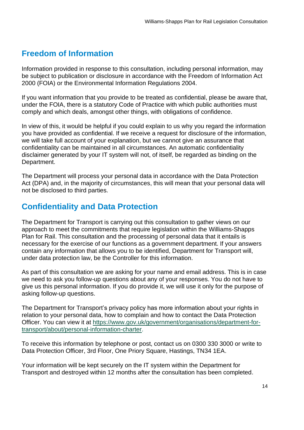# <span id="page-14-0"></span>**Freedom of Information**

 Information provided in response to this consultation, including personal information, may be subject to publication or disclosure in accordance with the Freedom of Information Act 2000 (FOIA) or the Environmental Information Regulations 2004.

 If you want information that you provide to be treated as confidential, please be aware that, under the FOIA, there is a statutory Code of Practice with which public authorities must comply and which deals, amongst other things, with obligations of confidence.

 In view of this, it would be helpful if you could explain to us why you regard the information you have provided as confidential. If we receive a request for disclosure of the information, we will take full account of your explanation, but we cannot give an assurance that confidentiality can be maintained in all circumstances. An automatic confidentiality disclaimer generated by your IT system will not, of itself, be regarded as binding on the Department.

 The Department will process your personal data in accordance with the Data Protection Act (DPA) and, in the majority of circumstances, this will mean that your personal data will not be disclosed to third parties.

## <span id="page-14-1"></span> **Confidentiality and Data Protection**

 The Department for Transport is carrying out this consultation to gather views on our approach to meet the commitments that require legislation within the Williams-Shapps Plan for Rail. This consultation and the processing of personal data that it entails is necessary for the exercise of our functions as a government department. If your answers contain any information that allows you to be identified, Department for Transport will, under data protection law, be the Controller for this information.

 As part of this consultation we are asking for your name and email address. This is in case we need to ask you follow-up questions about any of your responses. You do not have to give us this personal information. If you do provide it, we will use it only for the purpose of asking follow-up questions.

 The Department for Transport's privacy policy has more information about your rights in relation to your personal data, how to complain and how to contact the Data Protection Officer. You can view it at [https://www.gov.uk/government/organisations/department-for](https://www.gov.uk/government/organisations/department-for-transport/about/personal-information-charter)[transport/about/personal-information-charter.](https://www.gov.uk/government/organisations/department-for-transport/about/personal-information-charter)

 To receive this information by telephone or post, contact us on 0300 330 3000 or write to Data Protection Officer, 3rd Floor, One Priory Square, Hastings, TN34 1EA.

 Your information will be kept securely on the IT system within the Department for Transport and destroyed within 12 months after the consultation has been completed.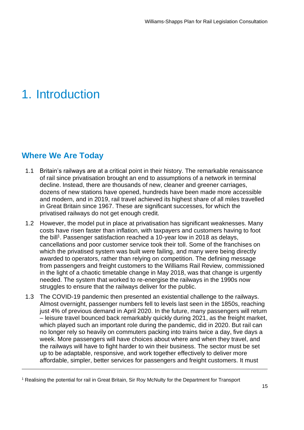# <span id="page-15-0"></span>1. Introduction

## <span id="page-15-1"></span>**Where We Are Today**

- 1.1 Britain's railways are at a critical point in their history. The remarkable renaissance of rail since privatisation brought an end to assumptions of a network in terminal decline. Instead, there are thousands of new, cleaner and greener carriages, dozens of new stations have opened, hundreds have been made more accessible and modern, and in 2019, rail travel achieved its highest share of all miles travelled in Great Britain since 1967. These are significant successes, for which the privatised railways do not get enough credit.
- 1.2 However, the model put in place at privatisation has significant weaknesses. Many costs have risen faster than inflation, with taxpayers and customers having to foot the bill<sup>1</sup>. Passenger satisfaction reached a 10-year low in 2018 as delays, which the privatised system was built were failing, and many were being directly awarded to operators, rather than relying on competition. The defining message from passengers and freight customers to the Williams Rail Review, commissioned in the light of a chaotic timetable change in May 2018, was that change is urgently needed. The system that worked to re-energise the railways in the 1990s now struggles to ensure that the railways deliver for the public. cancellations and poor customer service took their toll. Some of the franchises on
- 1.3 The COVID-19 pandemic then presented an existential challenge to the railways. Almost overnight, passenger numbers fell to levels last seen in the 1850s, reaching just 4% of previous demand in April 2020. In the future, many passengers will return – leisure travel bounced back remarkably quickly during 2021, as the freight market, which played such an important role during the pandemic, did in 2020. But rail can no longer rely so heavily on commuters packing into trains twice a day, five days a week. More passengers will have choices about where and when they travel, and the railways will have to fight harder to win their business. The sector must be set up to be adaptable, responsive, and work together effectively to deliver more affordable, simpler, better services for passengers and freight customers. It must

<sup>1</sup> Realising the potential for rail in Great Britain, Sir Roy McNulty for the Department for Transport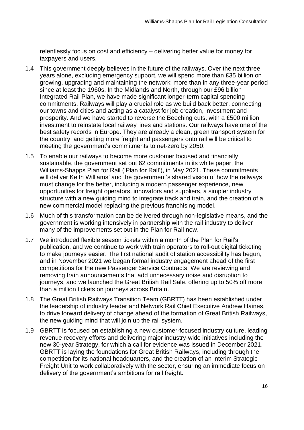relentlessly focus on cost and efficiency – delivering better value for money for taxpayers and users.

- 1.4 This government deeply believes in the future of the railways. Over the next three years alone, excluding emergency support, we will spend more than £35 billion on growing, upgrading and maintaining the network: more than in any three-year period since at least the 1960s. In the Midlands and North, through our £96 billion Integrated Rail Plan, we have made significant longer-term capital spending commitments. Railways will play a crucial role as we build back better, connecting our towns and cities and acting as a catalyst for job creation, investment and prosperity. And we have started to reverse the Beeching cuts, with a £500 million investment to reinstate local railway lines and stations. Our railways have one of the best safety records in Europe. They are already a clean, green transport system for the country, and getting more freight and passengers onto rail will be critical to meeting the government's commitments to net-zero by 2050.
- 1.5 To enable our railways to become more customer focused and financially sustainable, the government set out 62 commitments in its white paper, the Williams-Shapps Plan for Rail ('Plan for Rail'), in May 2021. These commitments will deliver Keith Williams' and the government's shared vision of how the railways must change for the better, including a modern passenger experience, new opportunities for freight operators, innovators and suppliers, a simpler industry structure with a new guiding mind to integrate track and train, and the creation of a new commercial model replacing the previous franchising model.
- 1.6 Much of this transformation can be delivered through non-legislative means, and the government is working intensively in partnership with the rail industry to deliver many of the improvements set out in the Plan for Rail now.
- 1.7 We introduced flexible season tickets within a month of the Plan for Rail's publication, and we continue to work with train operators to roll-out digital ticketing to make journeys easier. The first national audit of station accessibility has begun, and in November 2021 we began formal industry engagement ahead of the first competitions for the new Passenger Service Contracts. We are reviewing and removing train announcements that add unnecessary noise and disruption to journeys, and we launched the Great British Rail Sale, offering up to 50% off more than a million tickets on journeys across Britain.
- 1.8 The Great British Railways Transition Team (GBRTT) has been established under the leadership of industry leader and Network Rail Chief Executive Andrew Haines, to drive forward delivery of change ahead of the formation of Great British Railways, the new guiding mind that will join up the rail system.
- 1.9 GBRTT is focused on establishing a new customer-focused industry culture, leading new 30-year Strategy, for which a call for evidence was issued in December 2021. GBRTT is laying the foundations for Great British Railways, including through the competition for its national headquarters, and the creation of an interim Strategic Freight Unit to work collaboratively with the sector, ensuring an immediate focus on delivery of the government's ambitions for rail freight. revenue recovery efforts and delivering major industry-wide initiatives including the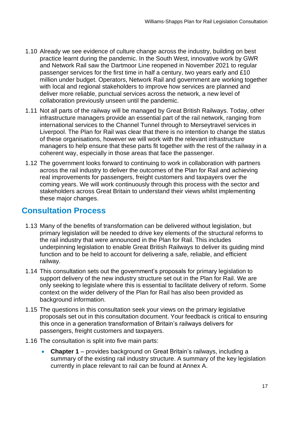- 1.10 Already we see evidence of culture change across the industry, building on best practice learnt during the pandemic. In the South West, innovative work by GWR and Network Rail saw the Dartmoor Line reopened in November 2021 to regular passenger services for the first time in half a century, two years early and £10 million under budget. Operators, Network Rail and government are working together with local and regional stakeholders to improve how services are planned and deliver more reliable, punctual services across the network, a new level of collaboration previously unseen until the pandemic.
- 1.11 Not all parts of the railway will be managed by Great British Railways. Today, other infrastructure managers provide an essential part of the rail network, ranging from international services to the Channel Tunnel through to Merseytravel services in Liverpool. The Plan for Rail was clear that there is no intention to change the status of these organisations, however we will work with the relevant infrastructure managers to help ensure that these parts fit together with the rest of the railway in a coherent way, especially in those areas that face the passenger.
- 1.12 The government looks forward to continuing to work in collaboration with partners across the rail industry to deliver the outcomes of the Plan for Rail and achieving coming years. We will work continuously through this process with the sector and stakeholders across Great Britain to understand their views whilst implementing real improvements for passengers, freight customers and taxpayers over the these major changes.

## <span id="page-17-0"></span>**Consultation Process**

- 1.13 Many of the benefits of transformation can be delivered without legislation, but primary legislation will be needed to drive key elements of the structural reforms to the rail industry that were announced in the Plan for Rail. This includes underpinning legislation to enable Great British Railways to deliver its guiding mind function and to be held to account for delivering a safe, reliable, and efficient railway.
- 1.14 This consultation sets out the government's proposals for primary legislation to support delivery of the new industry structure set out in the Plan for Rail. We are only seeking to legislate where this is essential to facilitate delivery of reform. Some context on the wider delivery of the Plan for Rail has also been provided as background information.
- proposals set out in this consultation document. Your feedback is critical to ensuring this once in a generation transformation of Britain's railways delivers for 1.15 The questions in this consultation seek your views on the primary legislative passengers, freight customers and taxpayers.
- 1.16 The consultation is split into five main parts:
	- **Chapter 1** provides background on Great Britain's railways, including a summary of the existing rail industry structure. A summary of the key legislation currently in place relevant to rail can be found at Annex A.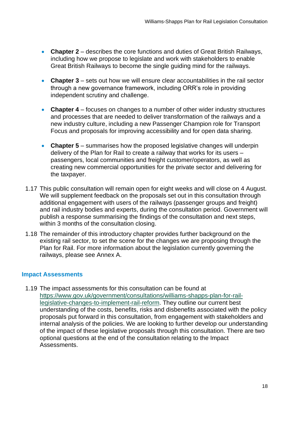- • **Chapter 2**  describes the core functions and duties of Great British Railways, including how we propose to legislate and work with stakeholders to enable Great British Railways to become the single guiding mind for the railways.
- • **Chapter 3**  sets out how we will ensure clear accountabilities in the rail sector through a new governance framework, including ORR's role in providing independent scrutiny and challenge.
- • **Chapter 4**  focuses on changes to a number of other wider industry structures and processes that are needed to deliver transformation of the railways and a new industry culture, including a new Passenger Champion role for Transport Focus and proposals for improving accessibility and for open data sharing.
- **Chapter 5** summarises how the proposed legislative changes will underpin delivery of the Plan for Rail to create a railway that works for its users – passengers, local communities and freight customer/operators, as well as creating new commercial opportunities for the private sector and delivering for the taxpayer.
- 1.17 This public consultation will remain open for eight weeks and will close on 4 August. We will supplement feedback on the proposals set out in this consultation through additional engagement with users of the railways (passenger groups and freight) and rail industry bodies and experts, during the consultation period. Government will publish a response summarising the findings of the consultation and next steps, within 3 months of the consultation closing.
- 1.18 The remainder of this introductory chapter provides further background on the existing rail sector, to set the scene for the changes we are proposing through the Plan for Rail. For more information about the legislation currently governing the railways, please see Annex A.

### **Impact Assessments**

 1.19 The impact assessments for this consultation can be found at [legislative-changes-to-implement-rail-reform.](https://www.gov.uk/government/consultations/williams-shapps-plan-for-rail-legislative-changes-to-implement-rail-reform) They outline our current best understanding of the costs, benefits, risks and disbenefits associated with the policy proposals put forward in this consultation, from engagement with stakeholders and internal analysis of the policies. We are looking to further develop our understanding of the impact of these legislative proposals through this consultation. There are two optional questions at the end of the consultation relating to the Impact [https://www.gov.uk/government/consultations/williams-shapps-plan-for-rail-](https://www.gov.uk/government/consultations/williams-shapps-plan-for-rail-legislative-changes-to-implement-rail-reform)Assessments.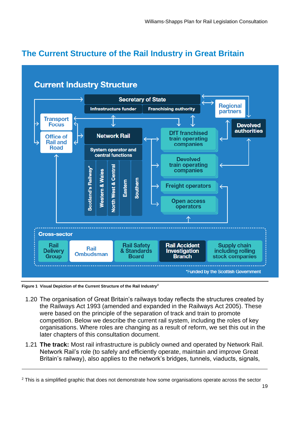# <span id="page-19-0"></span> **The Current Structure of the Rail Industry in Great Britain**



 **Figure 1 Visual Depiction of the Current Structure of the Rail Industry2** 

- 1.20 The organisation of Great Britain's railways today reflects the structures created by the Railways Act 1993 (amended and expanded in the Railways Act 2005). These were based on the principle of the separation of track and train to promote competition. Below we describe the current rail system, including the roles of key organisations. Where roles are changing as a result of reform, we set this out in the later chapters of this consultation document.
- 1.21 **The track:** Most rail infrastructure is publicly owned and operated by Network Rail. Network Rail's role (to safely and efficiently operate, maintain and improve Great Britain's railway), also applies to the network's bridges, tunnels, viaducts, signals,

<sup>2</sup> This is a simplified graphic that does not demonstrate how some organisations operate across the sector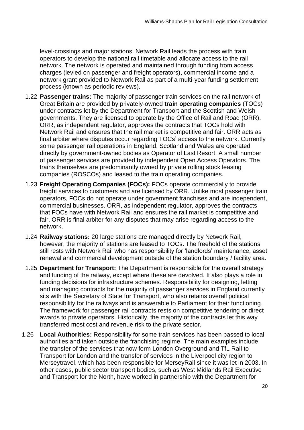level-crossings and major stations. Network Rail leads the process with train operators to develop the national rail timetable and allocate access to the rail network. The network is operated and maintained through funding from access charges (levied on passenger and freight operators), commercial income and a network grant provided to Network Rail as part of a multi-year funding settlement process (known as periodic reviews).

- 1.22 **Passenger trains:** The majority of passenger train services on the rail network of Great Britain are provided by privately-owned **train operating companies** (TOCs) under contracts let by the Department for Transport and the Scottish and Welsh governments. They are licensed to operate by the Office of Rail and Road (ORR). ORR, as independent regulator, approves the contracts that TOCs hold with Network Rail and ensures that the rail market is competitive and fair. ORR acts as final arbiter where disputes occur regarding TOCs' access to the network. Currently some passenger rail operations in England, Scotland and Wales are operated directly by government-owned bodies as Operator of Last Resort. A small number of passenger services are provided by independent Open Access Operators. The trains themselves are predominantly owned by private rolling stock leasing companies (ROSCOs) and leased to the train operating companies.
- 1.23 **Freight Operating Companies (FOCs):** FOCs operate commercially to provide freight services to customers and are licensed by ORR. Unlike most passenger train operators, FOCs do not operate under government franchises and are independent, that FOCs have with Network Rail and ensures the rail market is competitive and fair. ORR is final arbiter for any disputes that may arise regarding access to the commercial businesses. ORR, as independent regulator, approves the contracts network.
- 1.24 **Railway stations:** 20 large stations are managed directly by Network Rail, however, the majority of stations are leased to TOCs. The freehold of the stations still rests with Network Rail who has responsibility for 'landlords' maintenance, asset renewal and commercial development outside of the station boundary / facility area.
- 1.25 **Department for Transport:** The Department is responsible for the overall strategy and funding of the railway, except where these are devolved. It also plays a role in funding decisions for infrastructure schemes. Responsibility for designing, letting and managing contracts for the majority of passenger services in England currently sits with the Secretary of State for Transport, who also retains overall political responsibility for the railways and is answerable to Parliament for their functioning. The framework for passenger rail contracts rests on competitive tendering or direct awards to private operators. Historically, the majority of the contracts let this way transferred most cost and revenue risk to the private sector.
- 1.26 **Local Authorities:** Responsibility for some train services has been passed to local authorities and taken outside the franchising regime. The main examples include the transfer of the services that now form London Overground and TfL Rail to Transport for London and the transfer of services in the Liverpool city region to Merseytravel, which has been responsible for MerseyRail since it was let in 2003. In other cases, public sector transport bodies, such as West Midlands Rail Executive and Transport for the North, have worked in partnership with the Department for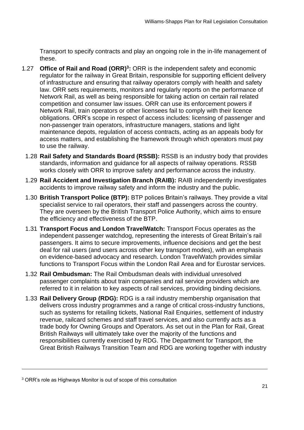Transport to specify contracts and play an ongoing role in the in-life management of these.

- 1.27 **Office of Rail and Road (ORR)<sup>3</sup>:** ORR is the independent safety and economic regulator for the railway in Great Britain, responsible for supporting efficient delivery of infrastructure and ensuring that railway operators comply with health and safety law. ORR sets requirements, monitors and regularly reports on the performance of Network Rail, as well as being responsible for taking action on certain rail related competition and consumer law issues. ORR can use its enforcement powers if Network Rail, train operators or other licensees fail to comply with their licence obligations. ORR's scope in respect of access includes: licensing of passenger and maintenance depots, regulation of access contracts, acting as an appeals body for to use the railway. non-passenger train operators, infrastructure managers, stations and light access matters, and establishing the framework through which operators must pay
	- standards, information and guidance for all aspects of railway operations. RSSB works closely with ORR to improve safety and performance across the industry. 1.28 **Rail Safety and Standards Board (RSSB):** RSSB is an industry body that provides
	- 1.29 **Rail Accident and Investigation Branch (RAIB):** RAIB independently investigates accidents to improve railway safety and inform the industry and the public.
	- 1.30 **British Transport Police (BTP):** BTP polices Britain's railways. They provide a vital specialist service to rail operators, their staff and passengers across the country. They are overseen by the British Transport Police Authority, which aims to ensure the efficiency and effectiveness of the BTP.
	- 1.31 **Transport Focus and London TravelWatch:** Transport Focus operates as the independent passenger watchdog, representing the interests of Great Britain's rail passengers. It aims to secure improvements, influence decisions and get the best deal for rail users (and users across other key transport modes), with an emphasis on evidence-based advocacy and research. London TravelWatch provides similar functions to Transport Focus within the London Rail Area and for Eurostar services.
	- 1.32 **Rail Ombudsman:** The Rail Ombudsman deals with individual unresolved passenger complaints about train companies and rail service providers which are referred to it in relation to key aspects of rail services, providing binding decisions.
	- 1.33 **Rail Delivery Group (RDG):** RDG is a rail industry membership organisation that delivers cross industry programmes and a range of critical cross-industry functions, such as systems for retailing tickets, National Rail Enquiries, settlement of industry revenue, railcard schemes and staff travel services, and also currently acts as a trade body for Owning Groups and Operators. As set out in the Plan for Rail, Great British Railways will ultimately take over the majority of the functions and responsibilities currently exercised by RDG. The Department for Transport, the Great British Railways Transition Team and RDG are working together with industry

<sup>3</sup> ORR's role as Highways Monitor is out of scope of this consultation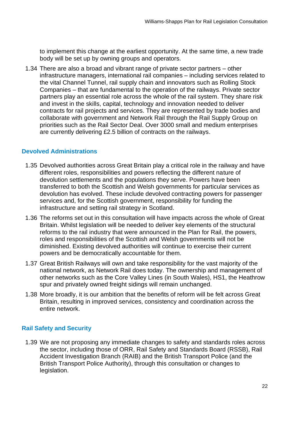to implement this change at the earliest opportunity. At the same time, a new trade body will be set up by owning groups and operators.

 1.34 There are also a broad and vibrant range of private sector partners – other infrastructure managers, international rail companies – including services related to the vital Channel Tunnel, rail supply chain and innovators such as Rolling Stock Companies – that are fundamental to the operation of the railways. Private sector partners play an essential role across the whole of the rail system. They share risk and invest in the skills, capital, technology and innovation needed to deliver contracts for rail projects and services. They are represented by trade bodies and collaborate with government and Network Rail through the Rail Supply Group on priorities such as the Rail Sector Deal. Over 3000 small and medium enterprises are currently delivering £2.5 billion of contracts on the railways.

### **Devolved Administrations**

- 1.35 Devolved authorities across Great Britain play a critical role in the railway and have different roles, responsibilities and powers reflecting the different nature of devolution settlements and the populations they serve. Powers have been transferred to both the Scottish and Welsh governments for particular services as devolution has evolved. These include devolved contracting powers for passenger services and, for the Scottish government, responsibility for funding the infrastructure and setting rail strategy in Scotland.
- 1.36 The reforms set out in this consultation will have impacts across the whole of Great Britain. Whilst legislation will be needed to deliver key elements of the structural reforms to the rail industry that were announced in the Plan for Rail, the powers, roles and responsibilities of the Scottish and Welsh governments will not be diminished. Existing devolved authorities will continue to exercise their current powers and be democratically accountable for them.
- 1.37 Great British Railways will own and take responsibility for the vast majority of the national network, as Network Rail does today. The ownership and management of other networks such as the Core Valley Lines (in South Wales), HS1, the Heathrow spur and privately owned freight sidings will remain unchanged.
- 1.38 More broadly, it is our ambition that the benefits of reform will be felt across Great Britain, resulting in improved services, consistency and coordination across the entire network.

## **Rail Safety and Security**

 1.39 We are not proposing any immediate changes to safety and standards roles across the sector, including those of ORR, Rail Safety and Standards Board (RSSB), Rail Accident Investigation Branch (RAIB) and the British Transport Police (and the British Transport Police Authority), through this consultation or changes to legislation.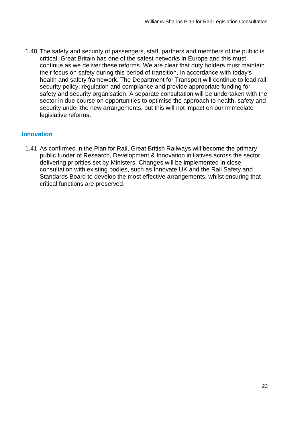1.40 The safety and security of passengers, staff, partners and members of the public is critical. Great Britain has one of the safest networks in Europe and this must continue as we deliver these reforms. We are clear that duty holders must maintain their focus on safety during this period of transition, in accordance with today's health and safety framework. The Department for Transport will continue to lead rail security policy, regulation and compliance and provide appropriate funding for safety and security organisation. A separate consultation will be undertaken with the sector in due course on opportunities to optimise the approach to health, safety and security under the new arrangements, but this will not impact on our immediate legislative reforms.

### **Innovation**

 1.41 As confirmed in the Plan for Rail, Great British Railways will become the primary public funder of Research, Development & Innovation initiatives across the sector, delivering priorities set by Ministers. Changes will be implemented in close consultation with existing bodies, such as Innovate UK and the Rail Safety and Standards Board to develop the most effective arrangements, whilst ensuring that critical functions are preserved.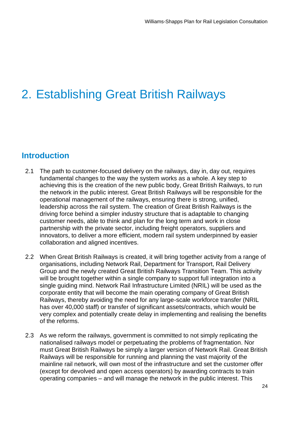# <span id="page-24-0"></span>2. Establishing Great British Railways

## <span id="page-24-1"></span>**Introduction**

- 2.1 The path to customer-focused delivery on the railways, day in, day out, requires fundamental changes to the way the system works as a whole. A key step to achieving this is the creation of the new public body, Great British Railways, to run the network in the public interest. Great British Railways will be responsible for the operational management of the railways, ensuring there is strong, unified, leadership across the rail system. The creation of Great British Railways is the driving force behind a simpler industry structure that is adaptable to changing customer needs, able to think and plan for the long term and work in close partnership with the private sector, including freight operators, suppliers and innovators, to deliver a more efficient, modern rail system underpinned by easier collaboration and aligned incentives.
- 2.2 When Great British Railways is created, it will bring together activity from a range of organisations, including Network Rail, Department for Transport, Rail Delivery Group and the newly created Great British Railways Transition Team. This activity will be brought together within a single company to support full integration into a single guiding mind. Network Rail Infrastructure Limited (NRIL) will be used as the corporate entity that will become the main operating company of Great British Railways, thereby avoiding the need for any large-scale workforce transfer (NRIL has over 40,000 staff) or transfer of significant assets/contracts, which would be very complex and potentially create delay in implementing and realising the benefits of the reforms.
- 2.3 As we reform the railways, government is committed to not simply replicating the nationalised railways model or perpetuating the problems of fragmentation. Nor must Great British Railways be simply a larger version of Network Rail. Great British Railways will be responsible for running and planning the vast majority of the mainline rail network, will own most of the infrastructure and set the customer offer (except for devolved and open access operators) by awarding contracts to train operating companies – and will manage the network in the public interest. This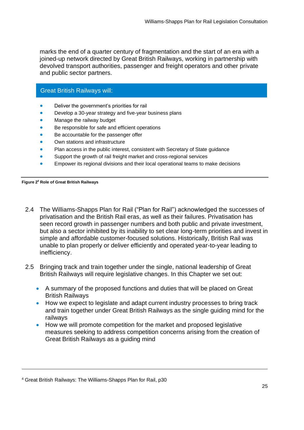marks the end of a quarter century of fragmentation and the start of an era with a joined-up network directed by Great British Railways, working in partnership with devolved transport authorities, passenger and freight operators and other private and public sector partners.

### Great British Railways will:

- Deliver the government's priorities for rail
- Develop a 30-year strategy and five-year business plans
- Manage the railway budget
- Be responsible for safe and efficient operations
- Be accountable for the passenger offer
- Own stations and infrastructure
- Plan access in the public interest, consistent with Secretary of State guidance
- Support the growth of rail freight market and cross-regional services
- Empower its regional divisions and their local operational teams to make decisions

 **Figure 24 Role of Great British Railways** 

- privatisation and the British Rail eras, as well as their failures. Privatisation has seen record growth in passenger numbers and both public and private investment, but also a sector inhibited by its inability to set clear long-term priorities and invest in simple and affordable customer-focused solutions. Historically, British Rail was unable to plan properly or deliver efficiently and operated year-to-year leading to 2.4 The Williams-Shapps Plan for Rail ("Plan for Rail") acknowledged the successes of inefficiency.
- 2.5 Bringing track and train together under the single, national leadership of Great British Railways will require legislative changes. In this Chapter we set out:
	- • A summary of the proposed functions and duties that will be placed on Great British Railways
	- • How we expect to legislate and adapt current industry processes to bring track and train together under Great British Railways as the single guiding mind for the railways
	- • How we will promote competition for the market and proposed legislative measures seeking to address competition concerns arising from the creation of Great British Railways as a guiding mind

<sup>4</sup> Great British Railways: The Williams-Shapps Plan for Rail, p30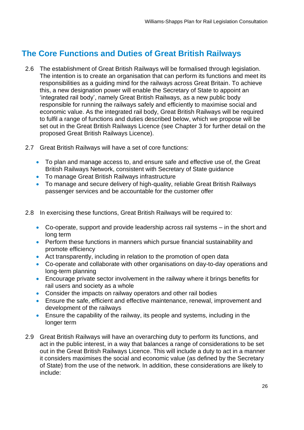# <span id="page-26-0"></span> **The Core Functions and Duties of Great British Railways**

- 2.6 The establishment of Great British Railways will be formalised through legislation. The intention is to create an organisation that can perform its functions and meet its responsibilities as a guiding mind for the railways across Great Britain. To achieve this, a new designation power will enable the Secretary of State to appoint an 'integrated rail body', namely Great British Railways, as a new public body responsible for running the railways safely and efficiently to maximise social and economic value. As the integrated rail body, Great British Railways will be required to fulfil a range of functions and duties described below, which we propose will be set out in the Great British Railways Licence (see Chapter 3 for further detail on the proposed Great British Railways Licence).
- proposed Great British Railways Licence). 2.7 Great British Railways will have a set of core functions:
	- • To plan and manage access to, and ensure safe and effective use of, the Great British Railways Network, consistent with Secretary of State guidance
	- To manage Great British Railways infrastructure
	- • To manage and secure delivery of high-quality, reliable Great British Railways passenger services and be accountable for the customer offer
- 2.8 In exercising these functions, Great British Railways will be required to:
	- • Co-operate, support and provide leadership across rail systems in the short and long term
	- • Perform these functions in manners which pursue financial sustainability and promote efficiency
	- Act transparently, including in relation to the promotion of open data
	- • Co-operate and collaborate with other organisations on day-to-day operations and long-term planning
	- • Encourage private sector involvement in the railway where it brings benefits for rail users and society as a whole
	- Consider the impacts on railway operators and other rail bodies
	- • Ensure the safe, efficient and effective maintenance, renewal, improvement and development of the railways
	- • Ensure the capability of the railway, its people and systems, including in the longer term
- 2.9 Great British Railways will have an overarching duty to perform its functions, and act in the public interest, in a way that balances a range of considerations to be set out in the Great British Railways Licence. This will include a duty to act in a manner it considers maximises the social and economic value (as defined by the Secretary of State) from the use of the network. In addition, these considerations are likely to include: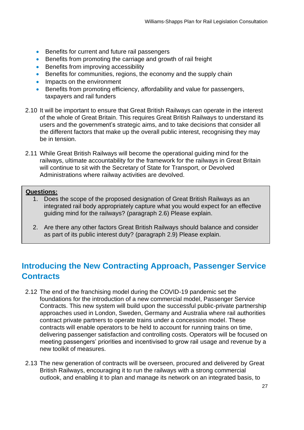- Benefits for current and future rail passengers
- Benefits from promoting the carriage and growth of rail freight
- Benefits from improving accessibility
- Benefits for communities, regions, the economy and the supply chain
- Impacts on the environment
- • Benefits from promoting efficiency, affordability and value for passengers, taxpayers and rail funders
- 2.10 It will be important to ensure that Great British Railways can operate in the interest of the whole of Great Britain. This requires Great British Railways to understand its users and the government's strategic aims, and to take decisions that consider all the different factors that make up the overall public interest, recognising they may be in tension.
- 2.11 While Great British Railways will become the operational guiding mind for the railways, ultimate accountability for the framework for the railways in Great Britain will continue to sit with the Secretary of State for Transport, or Devolved Administrations where railway activities are devolved.

### **Questions:**

- 1. Does the scope of the proposed designation of Great British Railways as an integrated rail body appropriately capture what you would expect for an effective guiding mind for the railways? (paragraph 2.6) Please explain.
- 2. Are there any other factors Great British Railways should balance and consider as part of its public interest duty? (paragraph 2.9) Please explain.

# <span id="page-27-0"></span> **Introducing the New Contracting Approach, Passenger Service Contracts**

- 2.12 The end of the franchising model during the COVID-19 pandemic set the foundations for the introduction of a new commercial model, Passenger Service Contracts. This new system will build upon the successful public-private partnership approaches used in London, Sweden, Germany and Australia where rail authorities contract private partners to operate trains under a concession model. These contracts will enable operators to be held to account for running trains on time, delivering passenger satisfaction and controlling costs. Operators will be focused on meeting passengers' priorities and incentivised to grow rail usage and revenue by a new toolkit of measures.
- 2.13 The new generation of contracts will be overseen, procured and delivered by Great British Railways, encouraging it to run the railways with a strong commercial outlook, and enabling it to plan and manage its network on an integrated basis, to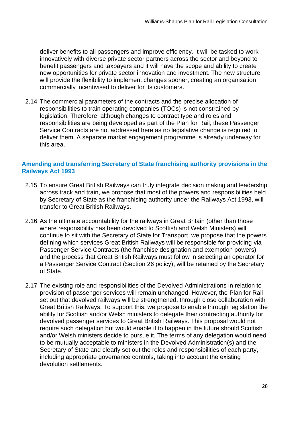deliver benefits to all passengers and improve efficiency. It will be tasked to work innovatively with diverse private sector partners across the sector and beyond to benefit passengers and taxpayers and it will have the scope and ability to create new opportunities for private sector innovation and investment. The new structure will provide the flexibility to implement changes sooner, creating an organisation commercially incentivised to deliver for its customers.

 2.14 The commercial parameters of the contracts and the precise allocation of responsibilities to train operating companies (TOCs) is not constrained by legislation. Therefore, although changes to contract type and roles and responsibilities are being developed as part of the Plan for Rail, these Passenger Service Contracts are not addressed here as no legislative change is required to deliver them. A separate market engagement programme is already underway for this area.

#### **Amending and transferring Secretary of State franchising authority provisions in the Railways Act 1993**

- 2.15 To ensure Great British Railways can truly integrate decision making and leadership across track and train, we propose that most of the powers and responsibilities held by Secretary of State as the franchising authority under the Railways Act 1993, will transfer to Great British Railways.
- 2.16 As the ultimate accountability for the railways in Great Britain (other than those where responsibility has been devolved to Scottish and Welsh Ministers) will continue to sit with the Secretary of State for Transport, we propose that the powers defining which services Great British Railways will be responsible for providing via Passenger Service Contracts (the franchise designation and exemption powers) and the process that Great British Railways must follow in selecting an operator for a Passenger Service Contract (Section 26 policy), will be retained by the Secretary of State.
- 2.17 The existing role and responsibilities of the Devolved Administrations in relation to provision of passenger services will remain unchanged. However, the Plan for Rail set out that devolved railways will be strengthened, through close collaboration with Great British Railways. To support this, we propose to enable through legislation the ability for Scottish and/or Welsh ministers to delegate their contracting authority for devolved passenger services to Great British Railways. This proposal would not require such delegation but would enable it to happen in the future should Scottish and/or Welsh ministers decide to pursue it. The terms of any delegation would need to be mutually acceptable to ministers in the Devolved Administration(s) and the Secretary of State and clearly set out the roles and responsibilities of each party, including appropriate governance controls, taking into account the existing devolution settlements.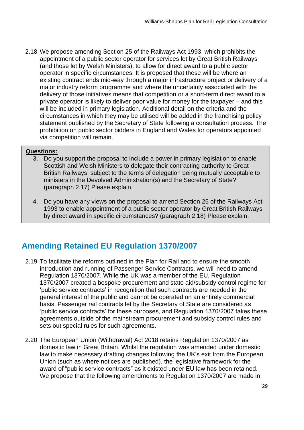2.18 We propose amending Section 25 of the Railways Act 1993, which prohibits the appointment of a public sector operator for services let by Great British Railways (and those let by Welsh Ministers), to allow for direct award to a public sector operator in specific circumstances. It is proposed that these will be where an existing contract ends mid-way through a major infrastructure project or delivery of a major industry reform programme and where the uncertainty associated with the delivery of those initiatives means that competition or a short-term direct award to a private operator is likely to deliver poor value for money for the taxpayer – and this will be included in primary legislation. Additional detail on the criteria and the circumstances in which they may be utilised will be added in the franchising policy statement published by the Secretary of State following a consultation process. The prohibition on public sector bidders in England and Wales for operators appointed via competition will remain.

#### **Questions:**

- 3. Do you support the proposal to include a power in primary legislation to enable Scottish and Welsh Ministers to delegate their contracting authority to Great British Railways, subject to the terms of delegation being mutually acceptable to ministers in the Devolved Administration(s) and the Secretary of State? (paragraph 2.17) Please explain.
	- 4. Do you have any views on the proposal to amend Section 25 of the Railways Act 1993 to enable appointment of a public sector operator by Great British Railways by direct award in specific circumstances? (paragraph 2.18) Please explain.

## <span id="page-29-0"></span>**Amending Retained EU Regulation 1370/2007**

- 2.19 To facilitate the reforms outlined in the Plan for Rail and to ensure the smooth introduction and running of Passenger Service Contracts, we will need to amend Regulation 1370/2007. While the UK was a member of the EU, Regulation 1370/2007 created a bespoke procurement and state aid/subsidy control regime for 'public service contracts' in recognition that such contracts are needed in the general interest of the public and cannot be operated on an entirely commercial basis. Passenger rail contracts let by the Secretary of State are considered as 'public service contracts' for these purposes, and Regulation 1370/2007 takes these agreements outside of the mainstream procurement and subsidy control rules and sets out special rules for such agreements.
- 2.20 The European Union (Withdrawal) Act 2018 retains Regulation 1370/2007 as domestic law in Great Britain. Whilst the regulation was amended under domestic law to make necessary drafting changes following the UK's exit from the European Union (such as where notices are published), the legislative framework for the award of "public service contracts" as it existed under EU law has been retained. We propose that the following amendments to Regulation 1370/2007 are made in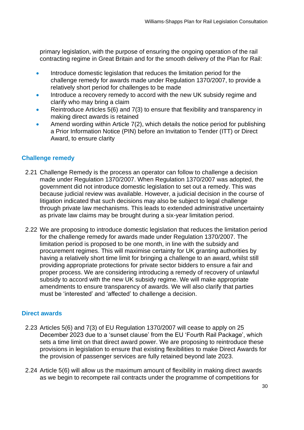primary legislation, with the purpose of ensuring the ongoing operation of the rail contracting regime in Great Britain and for the smooth delivery of the Plan for Rail:

- • Introduce domestic legislation that reduces the limitation period for the challenge remedy for awards made under Regulation 1370/2007, to provide a relatively short period for challenges to be made
- Introduce a recovery remedy to accord with the new UK subsidy regime and clarify who may bring a claim
- Reintroduce Articles 5(6) and 7(3) to ensure that flexibility and transparency in making direct awards is retained
- Amend wording within Article 7(2), which details the notice period for publishing a Prior Information Notice (PIN) before an Invitation to Tender (ITT) or Direct Award, to ensure clarity

### **Challenge remedy**

- 2.21 Challenge Remedy is the process an operator can follow to challenge a decision made under Regulation 1370/2007. When Regulation 1370/2007 was adopted, the government did not introduce domestic legislation to set out a remedy. This was because judicial review was available. However, a judicial decision in the course of litigation indicated that such decisions may also be subject to legal challenge through private law mechanisms. This leads to extended administrative uncertainty as private law claims may be brought during a six-year limitation period.
- 2.22 We are proposing to introduce domestic legislation that reduces the limitation period for the challenge remedy for awards made under Regulation 1370/2007. The limitation period is proposed to be one month, in line with the subsidy and having a relatively short time limit for bringing a challenge to an award, whilst still providing appropriate protections for private sector bidders to ensure a fair and proper process. We are considering introducing a remedy of recovery of unlawful subsidy to accord with the new UK subsidy regime. We will make appropriate amendments to ensure transparency of awards. We will also clarify that parties must be 'interested' and 'affected' to challenge a decision. procurement regimes. This will maximise certainty for UK granting authorities by

### **Direct awards**

- 2.23 Articles 5(6) and 7(3) of EU Regulation 1370/2007 will cease to apply on 25 December 2023 due to a 'sunset clause' from the EU 'Fourth Rail Package', which sets a time limit on that direct award power. We are proposing to reintroduce these provisions in legislation to ensure that existing flexibilities to make Direct Awards for the provision of passenger services are fully retained beyond late 2023.
- 2.24 Article 5(6) will allow us the maximum amount of flexibility in making direct awards as we begin to recompete rail contracts under the programme of competitions for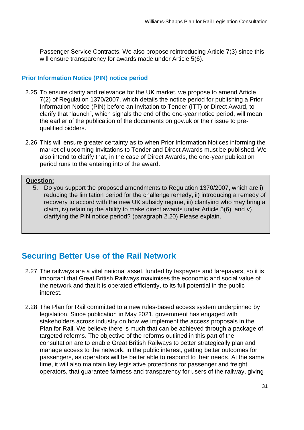Passenger Service Contracts. We also propose reintroducing Article 7(3) since this will ensure transparency for awards made under Article 5(6).

#### **Prior Information Notice (PIN) notice period**

- 2.25 To ensure clarity and relevance for the UK market, we propose to amend Article 7(2) of Regulation 1370/2007, which details the notice period for publishing a Prior Information Notice (PIN) before an Invitation to Tender (ITT) or Direct Award, to clarify that "launch", which signals the end of the one-year notice period, will mean the earlier of the publication of the documents on gov.uk or their issue to prequalified bidders.
- 2.26 This will ensure greater certainty as to when Prior Information Notices informing the market of upcoming Invitations to Tender and Direct Awards must be published. We also intend to clarify that, in the case of Direct Awards, the one-year publication period runs to the entering into of the award.

## **Question:**

 5. Do you support the proposed amendments to Regulation 1370/2007, which are i) reducing the limitation period for the challenge remedy, ii) introducing a remedy of recovery to accord with the new UK subsidy regime, iii) clarifying who may bring a claim, iv) retaining the ability to make direct awards under Article 5(6), and v) clarifying the PIN notice period? (paragraph 2.20) Please explain.

## <span id="page-31-0"></span> **Securing Better Use of the Rail Network**

- 2.27 The railways are a vital national asset, funded by taxpayers and farepayers, so it is important that Great British Railways maximises the economic and social value of the network and that it is operated efficiently, to its full potential in the public interest.
- 2.28 The Plan for Rail committed to a new rules-based access system underpinned by legislation. Since publication in May 2021, government has engaged with stakeholders across industry on how we implement the access proposals in the Plan for Rail. We believe there is much that can be achieved through a package of targeted reforms. The objective of the reforms outlined in this part of the consultation are to enable Great British Railways to better strategically plan and manage access to the network, in the public interest, getting better outcomes for passengers, as operators will be better able to respond to their needs. At the same time, it will also maintain key legislative protections for passenger and freight operators, that guarantee fairness and transparency for users of the railway, giving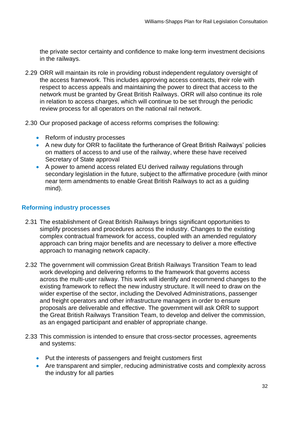the private sector certainty and confidence to make long-term investment decisions in the railways.

- 2.29 ORR will maintain its role in providing robust independent regulatory oversight of the access framework. This includes approving access contracts, their role with respect to access appeals and maintaining the power to direct that access to the network must be granted by Great British Railways. ORR will also continue its role in relation to access charges, which will continue to be set through the periodic review process for all operators on the national rail network.
- 2.30 Our proposed package of access reforms comprises the following:
	- Reform of industry processes
	- • A new duty for ORR to facilitate the furtherance of Great British Railways' policies on matters of access to and use of the railway, where these have received Secretary of State approval
	- • A power to amend access related EU derived railway regulations through secondary legislation in the future, subject to the affirmative procedure (with minor near term amendments to enable Great British Railways to act as a guiding mind).

### **Reforming industry processes**

- 2.31 The establishment of Great British Railways brings significant opportunities to simplify processes and procedures across the industry. Changes to the existing complex contractual framework for access, coupled with an amended regulatory approach can bring major benefits and are necessary to deliver a more effective approach to managing network capacity.
- 2.32 The government will commission Great British Railways Transition Team to lead work developing and delivering reforms to the framework that governs access across the multi-user railway. This work will identify and recommend changes to the existing framework to reflect the new industry structure. It will need to draw on the wider expertise of the sector, including the Devolved Administrations, passenger and freight operators and other infrastructure managers in order to ensure proposals are deliverable and effective. The government will ask ORR to support the Great British Railways Transition Team, to develop and deliver the commission, as an engaged participant and enabler of appropriate change.
- 2.33 This commission is intended to ensure that cross-sector processes, agreements and systems:
	- Put the interests of passengers and freight customers first
	- • Are transparent and simpler, reducing administrative costs and complexity across the industry for all parties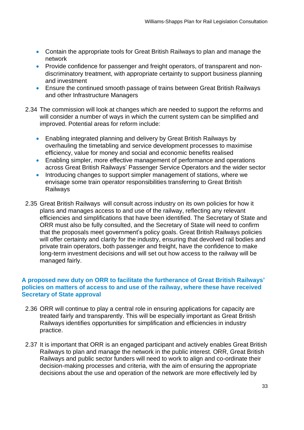- • Contain the appropriate tools for Great British Railways to plan and manage the network
- • Provide confidence for passenger and freight operators, of transparent and non- discriminatory treatment, with appropriate certainty to support business planning and investment
- • Ensure the continued smooth passage of trains between Great British Railways and other Infrastructure Managers
- 2.34 The commission will look at changes which are needed to support the reforms and will consider a number of ways in which the current system can be simplified and improved. Potential areas for reform include:
	- • Enabling integrated planning and delivery by Great British Railways by overhauling the timetabling and service development processes to maximise efficiency, value for money and social and economic benefits realised
	- • Enabling simpler, more effective management of performance and operations across Great British Railways' Passenger Service Operators and the wider sector
	- Introducing changes to support simpler management of stations, where we envisage some train operator responsibilities transferring to Great British Railways
- 2.35 Great British Railways will consult across industry on its own policies for how it plans and manages access to and use of the railway, reflecting any relevant efficiencies and simplifications that have been identified. The Secretary of State and ORR must also be fully consulted, and the Secretary of State will need to confirm that the proposals meet government's policy goals. Great British Railways policies will offer certainty and clarity for the industry, ensuring that devolved rail bodies and private train operators, both passenger and freight, have the confidence to make long-term investment decisions and will set out how access to the railway will be managed fairly.

### **A proposed new duty on ORR to facilitate the furtherance of Great British Railways' policies on matters of access to and use of the railway, where these have received Secretary of State approval**

- 2.36 ORR will continue to play a central role in ensuring applications for capacity are treated fairly and transparently. This will be especially important as Great British Railways identifies opportunities for simplification and efficiencies in industry practice.
- 2.37 It is important that ORR is an engaged participant and actively enables Great British Railways to plan and manage the network in the public interest. ORR, Great British Railways and public sector funders will need to work to align and co-ordinate their decision-making processes and criteria, with the aim of ensuring the appropriate decisions about the use and operation of the network are more effectively led by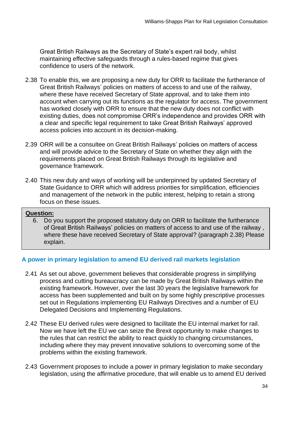Great British Railways as the Secretary of State's expert rail body, whilst maintaining effective safeguards through a rules-based regime that gives confidence to users of the network.

- 2.38 To enable this, we are proposing a new duty for ORR to facilitate the furtherance of Great British Railways' policies on matters of access to and use of the railway, where these have received Secretary of State approval, and to take them into account when carrying out its functions as the regulator for access. The government has worked closely with ORR to ensure that the new duty does not conflict with existing duties, does not compromise ORR's independence and provides ORR with a clear and specific legal requirement to take Great British Railways' approved access policies into account in its decision-making.
- 2.39 ORR will be a consultee on Great British Railways' policies on matters of access and will provide advice to the Secretary of State on whether they align with the requirements placed on Great British Railways through its legislative and governance framework.
- 2.40 This new duty and ways of working will be underpinned by updated Secretary of State Guidance to ORR which will address priorities for simplification, efficiencies and management of the network in the public interest, helping to retain a strong focus on these issues.

#### **Question:**

 6. Do you support the proposed statutory duty on ORR to facilitate the furtherance of Great British Railways' policies on matters of access to and use of the railway , where these have received Secretary of State approval? (paragraph 2.38) Please explain.

### **A power in primary legislation to amend EU derived rail markets legislation**

- 2.41 As set out above, government believes that considerable progress in simplifying process and cutting bureaucracy can be made by Great British Railways within the existing framework. However, over the last 30 years the legislative framework for access has been supplemented and built on by some highly prescriptive processes set out in Regulations implementing EU Railways Directives and a number of EU Delegated Decisions and Implementing Regulations.
- 2.42 These EU derived rules were designed to facilitate the EU internal market for rail. Now we have left the EU we can seize the Brexit opportunity to make changes to the rules that can restrict the ability to react quickly to changing circumstances, including where they may prevent innovative solutions to overcoming some of the problems within the existing framework.
- 2.43 Government proposes to include a power in primary legislation to make secondary legislation, using the affirmative procedure, that will enable us to amend EU derived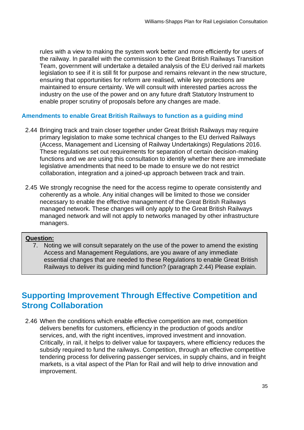rules with a view to making the system work better and more efficiently for users of the railway. In parallel with the commission to the Great British Railways Transition Team, government will undertake a detailed analysis of the EU derived rail markets legislation to see if it is still fit for purpose and remains relevant in the new structure, ensuring that opportunities for reform are realised, while key protections are maintained to ensure certainty. We will consult with interested parties across the industry on the use of the power and on any future draft Statutory Instrument to enable proper scrutiny of proposals before any changes are made.

#### **Amendments to enable Great British Railways to function as a guiding mind**

- 2.44 Bringing track and train closer together under Great British Railways may require primary legislation to make some technical changes to the EU derived Railways (Access, Management and Licensing of Railway Undertakings) Regulations 2016. These regulations set out requirements for separation of certain decision-making functions and we are using this consultation to identify whether there are immediate legislative amendments that need to be made to ensure we do not restrict collaboration, integration and a joined-up approach between track and train.
- 2.45 We strongly recognise the need for the access regime to operate consistently and coherently as a whole. Any initial changes will be limited to those we consider necessary to enable the effective management of the Great British Railways managed network. These changes will only apply to the Great British Railways managed network and will not apply to networks managed by other infrastructure managers.

### **Question:**

 7. Noting we will consult separately on the use of the power to amend the existing Access and Management Regulations, are you aware of any immediate essential changes that are needed to these Regulations to enable Great British Railways to deliver its guiding mind function? (paragraph 2.44) Please explain.

## <span id="page-35-0"></span> **Supporting Improvement Through Effective Competition and Strong Collaboration**

 2.46 When the conditions which enable effective competition are met, competition delivers benefits for customers, efficiency in the production of goods and/or services, and, with the right incentives, improved investment and innovation. Critically, in rail, it helps to deliver value for taxpayers, where efficiency reduces the subsidy required to fund the railways. Competition, through an effective competitive tendering process for delivering passenger services, in supply chains, and in freight markets, is a vital aspect of the Plan for Rail and will help to drive innovation and improvement.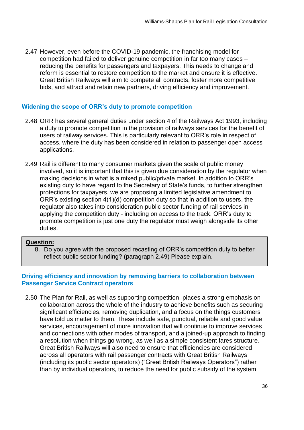2.47 However, even before the COVID-19 pandemic, the franchising model for competition had failed to deliver genuine competition in far too many cases – reducing the benefits for passengers and taxpayers. This needs to change and reform is essential to restore competition to the market and ensure it is effective. Great British Railways will aim to compete all contracts, foster more competitive bids, and attract and retain new partners, driving efficiency and improvement.

#### **Widening the scope of ORR's duty to promote competition**

- 2.48 ORR has several general duties under section 4 of the Railways Act 1993, including a duty to promote competition in the provision of railways services for the benefit of users of railway services. This is particularly relevant to ORR's role in respect of access, where the duty has been considered in relation to passenger open access applications.
- 2.49 Rail is different to many consumer markets given the scale of public money involved, so it is important that this is given due consideration by the regulator when making decisions in what is a mixed public/private market. In addition to ORR's existing duty to have regard to the Secretary of State's funds, to further strengthen protections for taxpayers, we are proposing a limited legislative amendment to ORR's existing section 4(1)(d) competition duty so that in addition to users, the regulator also takes into consideration public sector funding of rail services in applying the competition duty - including on access to the track. ORR's duty to promote competition is just one duty the regulator must weigh alongside its other duties.

#### **Question:**

 8. Do you agree with the proposed recasting of ORR's competition duty to better reflect public sector funding? (paragraph 2.49) Please explain.

#### **Driving efficiency and innovation by removing barriers to collaboration between Passenger Service Contract operators**

 2.50 The Plan for Rail, as well as supporting competition, places a strong emphasis on collaboration across the whole of the industry to achieve benefits such as securing significant efficiencies, removing duplication, and a focus on the things customers have told us matter to them. These include safe, punctual, reliable and good value services, encouragement of more innovation that will continue to improve services and connections with other modes of transport, and a joined-up approach to finding a resolution when things go wrong, as well as a simple consistent fares structure. Great British Railways will also need to ensure that efficiencies are considered across all operators with rail passenger contracts with Great British Railways (including its public sector operators) ("Great British Railways Operators") rather than by individual operators, to reduce the need for public subsidy of the system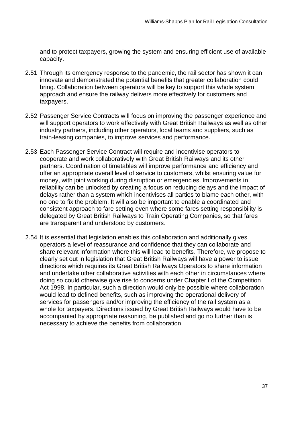and to protect taxpayers, growing the system and ensuring efficient use of available capacity.

- 2.51 Through its emergency response to the pandemic, the rail sector has shown it can innovate and demonstrated the potential benefits that greater collaboration could bring. Collaboration between operators will be key to support this whole system approach and ensure the railway delivers more effectively for customers and taxpayers.
- 2.52 Passenger Service Contracts will focus on improving the passenger experience and will support operators to work effectively with Great British Railways as well as other industry partners, including other operators, local teams and suppliers, such as train-leasing companies, to improve services and performance.
- 2.53 Each Passenger Service Contract will require and incentivise operators to cooperate and work collaboratively with Great British Railways and its other partners. Coordination of timetables will improve performance and efficiency and offer an appropriate overall level of service to customers, whilst ensuring value for money, with joint working during disruption or emergencies. Improvements in reliability can be unlocked by creating a focus on reducing delays and the impact of delays rather than a system which incentivises all parties to blame each other, with no one to fix the problem. It will also be important to enable a coordinated and consistent approach to fare setting even where some fares setting responsibility is delegated by Great British Railways to Train Operating Companies, so that fares are transparent and understood by customers.
- 2.54 It is essential that legislation enables this collaboration and additionally gives operators a level of reassurance and confidence that they can collaborate and share relevant information where this will lead to benefits. Therefore, we propose to clearly set out in legislation that Great British Railways will have a power to issue directions which requires its Great British Railways Operators to share information and undertake other collaborative activities with each other in circumstances where doing so could otherwise give rise to concerns under Chapter I of the Competition Act 1998. In particular, such a direction would only be possible where collaboration would lead to defined benefits, such as improving the operational delivery of services for passengers and/or improving the efficiency of the rail system as a whole for taxpayers. Directions issued by Great British Railways would have to be accompanied by appropriate reasoning, be published and go no further than is necessary to achieve the benefits from collaboration.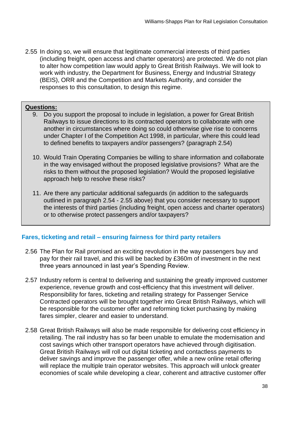2.55 In doing so, we will ensure that legitimate commercial interests of third parties (including freight, open access and charter operators) are protected. We do not plan to alter how competition law would apply to Great British Railways. We will look to (BEIS), ORR and the Competition and Markets Authority, and consider the responses to this consultation, to design this regime. work with industry, the Department for Business, Energy and Industrial Strategy

## **Questions:**

- 9. Do you support the proposal to include in legislation, a power for Great British Railways to issue directions to its contracted operators to collaborate with one another in circumstances where doing so could otherwise give rise to concerns under Chapter I of the Competition Act 1998, in particular, where this could lead to defined benefits to taxpayers and/or passengers? (paragraph 2.54)
- 10. Would Train Operating Companies be willing to share information and collaborate in the way envisaged without the proposed legislative provisions? What are the risks to them without the proposed legislation? Would the proposed legislative approach help to resolve these risks?
- 11. Are there any particular additional safeguards (in addition to the safeguards outlined in paragraph 2.54 - 2.55 above) that you consider necessary to support the interests of third parties (including freight, open access and charter operators) or to otherwise protect passengers and/or taxpayers?

## **Fares, ticketing and retail – ensuring fairness for third party retailers**

- 2.56 The Plan for Rail promised an exciting revolution in the way passengers buy and pay for their rail travel, and this will be backed by £360m of investment in the next three years announced in last year's Spending Review.
- 2.57 Industry reform is central to delivering and sustaining the greatly improved customer experience, revenue growth and cost-efficiency that this investment will deliver. Responsibility for fares, ticketing and retailing strategy for Passenger Service Contracted operators will be brought together into Great British Railways, which will be responsible for the customer offer and reforming ticket purchasing by making fares simpler, clearer and easier to understand.
- 2.58 Great British Railways will also be made responsible for delivering cost efficiency in retailing. The rail industry has so far been unable to emulate the modernisation and cost savings which other transport operators have achieved through digitisation. Great British Railways will roll out digital ticketing and contactless payments to deliver savings and improve the passenger offer, while a new online retail offering will replace the multiple train operator websites. This approach will unlock greater economies of scale while developing a clear, coherent and attractive customer offer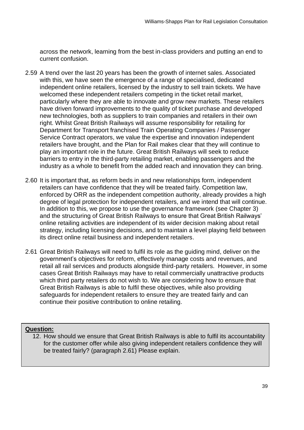across the network, learning from the best in-class providers and putting an end to current confusion.

- 2.59 A trend over the last 20 years has been the growth of internet sales. Associated with this, we have seen the emergence of a range of specialised, dedicated independent online retailers, licensed by the industry to sell train tickets. We have welcomed these independent retailers competing in the ticket retail market, particularly where they are able to innovate and grow new markets. These retailers have driven forward improvements to the quality of ticket purchase and developed new technologies, both as suppliers to train companies and retailers in their own right. Whilst Great British Railways will assume responsibility for retailing for Department for Transport franchised Train Operating Companies / Passenger Service Contract operators, we value the expertise and innovation independent retailers have brought, and the Plan for Rail makes clear that they will continue to play an important role in the future. Great British Railways will seek to reduce barriers to entry in the third-party retailing market, enabling passengers and the industry as a whole to benefit from the added reach and innovation they can bring.
- 2.60 It is important that, as reform beds in and new relationships form, independent retailers can have confidence that they will be treated fairly. Competition law, enforced by ORR as the independent competition authority, already provides a high degree of legal protection for independent retailers, and we intend that will continue. In addition to this, we propose to use the governance framework (see Chapter 3) and the structuring of Great British Railways to ensure that Great British Railways' online retailing activities are independent of its wider decision making about retail strategy, including licensing decisions, and to maintain a level playing field between its direct online retail business and independent retailers.
- 2.61 Great British Railways will need to fulfil its role as the guiding mind, deliver on the government's objectives for reform, effectively manage costs and revenues, and retail all rail services and products alongside third-party retailers. However, in some cases Great British Railways may have to retail commercially unattractive products which third party retailers do not wish to. We are considering how to ensure that Great British Railways is able to fulfil these objectives, while also providing safeguards for independent retailers to ensure they are treated fairly and can continue their positive contribution to online retailing.

## **Question:**

 12. How should we ensure that Great British Railways is able to fulfil its accountability for the customer offer while also giving independent retailers confidence they will be treated fairly? (paragraph 2.61) Please explain.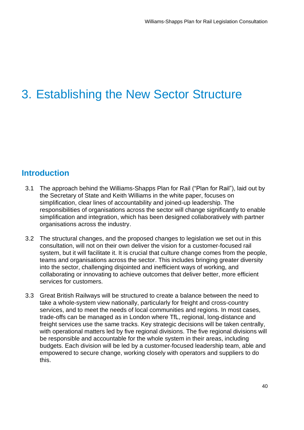# 3. Establishing the New Sector Structure

# **Introduction**

- 3.1 The approach behind the Williams-Shapps Plan for Rail ("Plan for Rail"), laid out by the Secretary of State and Keith Williams in the white paper, focuses on responsibilities of organisations across the sector will change significantly to enable simplification and integration, which has been designed collaboratively with partner simplification, clear lines of accountability and joined-up leadership. The organisations across the industry.
- 3.2 The structural changes, and the proposed changes to legislation we set out in this consultation, will not on their own deliver the vision for a customer-focused rail system, but it will facilitate it. It is crucial that culture change comes from the people, teams and organisations across the sector. This includes bringing greater diversity into the sector, challenging disjointed and inefficient ways of working, and collaborating or innovating to achieve outcomes that deliver better, more efficient services for customers.
- 3.3 Great British Railways will be structured to create a balance between the need to take a whole-system view nationally, particularly for freight and cross-country services, and to meet the needs of local communities and regions. In most cases, trade-offs can be managed as in London where TfL, regional, long-distance and freight services use the same tracks. Key strategic decisions will be taken centrally, with operational matters led by five regional divisions. The five regional divisions will be responsible and accountable for the whole system in their areas, including budgets. Each division will be led by a customer-focused leadership team, able and empowered to secure change, working closely with operators and suppliers to do this.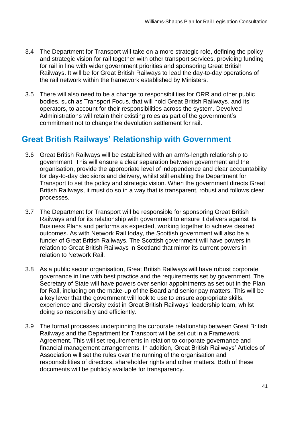- 3.4 The Department for Transport will take on a more strategic role, defining the policy and strategic vision for rail together with other transport services, providing funding for rail in line with wider government priorities and sponsoring Great British Railways. It will be for Great British Railways to lead the day-to-day operations of the rail network within the framework established by Ministers.
- 3.5 There will also need to be a change to responsibilities for ORR and other public bodies, such as Transport Focus, that will hold Great British Railways, and its operators, to account for their responsibilities across the system. Devolved Administrations will retain their existing roles as part of the government's commitment not to change the devolution settlement for rail.

# **Great British Railways' Relationship with Government**

- 3.6 Great British Railways will be established with an arm's-length relationship to government. This will ensure a clear separation between government and the organisation, provide the appropriate level of independence and clear accountability for day-to-day decisions and delivery, whilst still enabling the Department for Transport to set the policy and strategic vision. When the government directs Great British Railways, it must do so in a way that is transparent, robust and follows clear processes.
- 3.7 The Department for Transport will be responsible for sponsoring Great British Railways and for its relationship with government to ensure it delivers against its Business Plans and performs as expected, working together to achieve desired outcomes. As with Network Rail today, the Scottish government will also be a funder of Great British Railways. The Scottish government will have powers in relation to Great British Railways in Scotland that mirror its current powers in relation to Network Rail.
- 3.8 As a public sector organisation, Great British Railways will have robust corporate governance in line with best practice and the requirements set by government. The Secretary of State will have powers over senior appointments as set out in the Plan for Rail, including on the make-up of the Board and senior pay matters. This will be a key lever that the government will look to use to ensure appropriate skills, experience and diversity exist in Great British Railways' leadership team, whilst doing so responsibly and efficiently.
- 3.9 The formal processes underpinning the corporate relationship between Great British Railways and the Department for Transport will be set out in a Framework Agreement. This will set requirements in relation to corporate governance and financial management arrangements. In addition, Great British Railways' Articles of Association will set the rules over the running of the organisation and responsibilities of directors, shareholder rights and other matters. Both of these documents will be publicly available for transparency.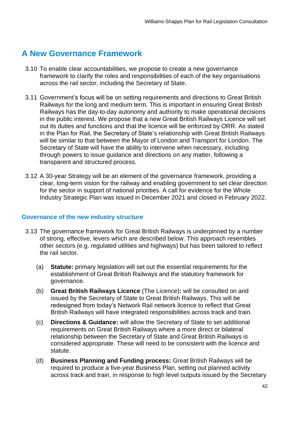# **A New Governance Framework**

- 3.10 To enable clear accountabilities, we propose to create a new governance framework to clarify the roles and responsibilities of each of the key organisations across the rail sector, including the Secretary of State.
- 3.11 Government's focus will be on setting requirements and directions to Great British Railways for the long and medium term. This is important in ensuring Great British Railways has the day-to-day autonomy and authority to make operational decisions in the public interest. We propose that a new Great British Railways Licence will set out its duties and functions and that the licence will be enforced by ORR. As stated in the Plan for Rail, the Secretary of State's relationship with Great British Railways will be similar to that between the Mayor of London and Transport for London. The Secretary of State will have the ability to intervene when necessary, including through powers to issue guidance and directions on any matter, following a transparent and structured process.
- 3.12 A 30-year Strategy will be an element of the governance framework, providing a clear, long-term vision for the railway and enabling government to set clear direction for the sector in support of national priorities. A call for evidence for the Whole Industry Strategic Plan was issued in December 2021 and closed in February 2022.

#### **Governance of the new industry structure**

- 3.13 The governance framework for Great British Railways is underpinned by a number other sectors (e.g. regulated utilities and highways) but has been tailored to reflect of strong, effective, levers which are described below. This approach resembles the rail sector.
	- (a) **Statute:** primary legislation will set out the essential requirements for the establishment of Great British Railways and the statutory framework for governance.
	- (b) **Great British Railways Licence** (The Licence)**:** will be consulted on and issued by the Secretary of State to Great British Railways. This will be redesigned from today's Network Rail network licence to reflect that Great British Railways will have integrated responsibilities across track and train.
	- (c) **Directions & Guidance:** will allow the Secretary of State to set additional requirements on Great British Railways where a more direct or bilateral relationship between the Secretary of State and Great British Railways is considered appropriate. These will need to be consistent with the licence and statute.
	- (d) **Business Planning and Funding process:** Great British Railways will be required to produce a five-year Business Plan, setting out planned activity across track and train, in response to high level outputs issued by the Secretary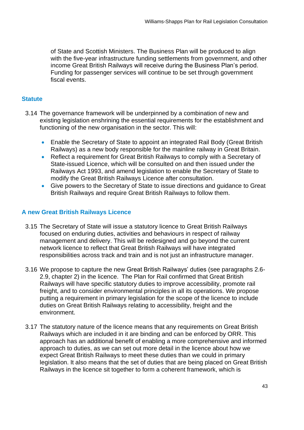of State and Scottish Ministers. The Business Plan will be produced to align with the five-year infrastructure funding settlements from government, and other income Great British Railways will receive during the Business Plan's period. Funding for passenger services will continue to be set through government fiscal events.

# **Statute**

- 3.14 The governance framework will be underpinned by a combination of new and existing legislation enshrining the essential requirements for the establishment and functioning of the new organisation in the sector. This will:
	- Enable the Secretary of State to appoint an integrated Rail Body (Great British Railways) as a new body responsible for the mainline railway in Great Britain.
	- • Reflect a requirement for Great British Railways to comply with a Secretary of State-issued Licence, which will be consulted on and then issued under the Railways Act 1993, and amend legislation to enable the Secretary of State to modify the Great British Railways Licence after consultation.
	- • Give powers to the Secretary of State to issue directions and guidance to Great British Railways and require Great British Railways to follow them.

# **A new Great British Railways Licence**

- 3.15 The Secretary of State will issue a statutory licence to Great British Railways focused on enduring duties, activities and behaviours in respect of railway management and delivery. This will be redesigned and go beyond the current network licence to reflect that Great British Railways will have integrated responsibilities across track and train and is not just an infrastructure manager.
- 3.16 We propose to capture the new Great British Railways' duties (see paragraphs 2.6- 2.9, chapter 2) in the licence. The Plan for Rail confirmed that Great British Railways will have specific statutory duties to improve accessibility, promote rail freight, and to consider environmental principles in all its operations. We propose putting a requirement in primary legislation for the scope of the licence to include duties on Great British Railways relating to accessibility, freight and the environment.
- 3.17 The statutory nature of the licence means that any requirements on Great British Railways which are included in it are binding and can be enforced by ORR. This approach has an additional benefit of enabling a more comprehensive and informed approach to duties, as we can set out more detail in the licence about how we expect Great British Railways to meet these duties than we could in primary legislation. It also means that the set of duties that are being placed on Great British Railways in the licence sit together to form a coherent framework, which is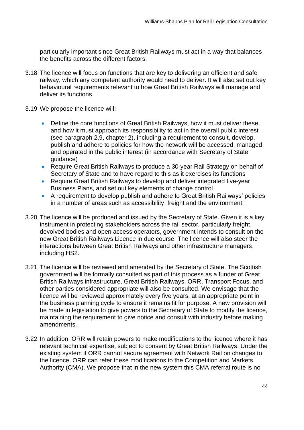particularly important since Great British Railways must act in a way that balances the benefits across the different factors.

- 3.18 The licence will focus on functions that are key to delivering an efficient and safe railway, which any competent authority would need to deliver. It will also set out key behavioural requirements relevant to how Great British Railways will manage and deliver its functions.
- 3.19 We propose the licence will:
	- • Define the core functions of Great British Railways, how it must deliver these, and how it must approach its responsibility to act in the overall public interest (see paragraph 2.9, chapter 2), including a requirement to consult, develop, publish and adhere to policies for how the network will be accessed, managed and operated in the public interest (in accordance with Secretary of State guidance)
	- • Require Great British Railways to produce a 30-year Rail Strategy on behalf of Secretary of State and to have regard to this as it exercises its functions
	- • Require Great British Railways to develop and deliver integrated five-year Business Plans, and set out key elements of change control
	- • A requirement to develop publish and adhere to Great British Railways' policies in a number of areas such as accessibility, freight and the environment.
- 3.20 The licence will be produced and issued by the Secretary of State. Given it is a key instrument in protecting stakeholders across the rail sector, particularly freight, devolved bodies and open access operators, government intends to consult on the new Great British Railways Licence in due course. The licence will also steer the interactions between Great British Railways and other infrastructure managers, including HS2.
- 3.21 The licence will be reviewed and amended by the Secretary of State. The Scottish government will be formally consulted as part of this process as a funder of Great British Railways infrastructure. Great British Railways, ORR, Transport Focus, and other parties considered appropriate will also be consulted. We envisage that the licence will be reviewed approximately every five years, at an appropriate point in the business planning cycle to ensure it remains fit for purpose. A new provision will be made in legislation to give powers to the Secretary of State to modify the licence, maintaining the requirement to give notice and consult with industry before making amendments.
- 3.22 In addition, ORR will retain powers to make modifications to the licence where it has relevant technical expertise, subject to consent by Great British Railways. Under the existing system if ORR cannot secure agreement with Network Rail on changes to the licence, ORR can refer these modifications to the Competition and Markets Authority (CMA). We propose that in the new system this CMA referral route is no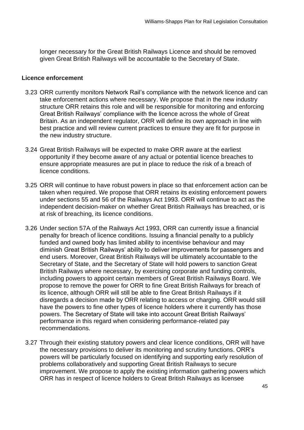longer necessary for the Great British Railways Licence and should be removed given Great British Railways will be accountable to the Secretary of State.

#### **Licence enforcement**

- 3.23 ORR currently monitors Network Rail's compliance with the network licence and can take enforcement actions where necessary. We propose that in the new industry structure ORR retains this role and will be responsible for monitoring and enforcing Great British Railways' compliance with the licence across the whole of Great Britain. As an independent regulator, ORR will define its own approach in line with best practice and will review current practices to ensure they are fit for purpose in the new industry structure.
- 3.24 Great British Railways will be expected to make ORR aware at the earliest opportunity if they become aware of any actual or potential licence breaches to ensure appropriate measures are put in place to reduce the risk of a breach of licence conditions.
- 3.25 ORR will continue to have robust powers in place so that enforcement action can be taken when required. We propose that ORR retains its existing enforcement powers under sections 55 and 56 of the Railways Act 1993. ORR will continue to act as the independent decision-maker on whether Great British Railways has breached, or is at risk of breaching, its licence conditions.
- 3.26 Under section 57A of the Railways Act 1993, ORR can currently issue a financial penalty for breach of licence conditions. Issuing a financial penalty to a publicly funded and owned body has limited ability to incentivise behaviour and may diminish Great British Railways' ability to deliver improvements for passengers and end users. Moreover, Great British Railways will be ultimately accountable to the Secretary of State, and the Secretary of State will hold powers to sanction Great British Railways where necessary, by exercising corporate and funding controls, including powers to appoint certain members of Great British Railways Board. We propose to remove the power for ORR to fine Great British Railways for breach of its licence, although ORR will still be able to fine Great British Railways if it disregards a decision made by ORR relating to access or charging. ORR would still have the powers to fine other types of licence holders where it currently has those powers. The Secretary of State will take into account Great British Railways' performance in this regard when considering performance-related pay recommendations.
- 3.27 Through their existing statutory powers and clear licence conditions, ORR will have the necessary provisions to deliver its monitoring and scrutiny functions. ORR's powers will be particularly focused on identifying and supporting early resolution of problems collaboratively and supporting Great British Railways to secure improvement. We propose to apply the existing information gathering powers which ORR has in respect of licence holders to Great British Railways as licensee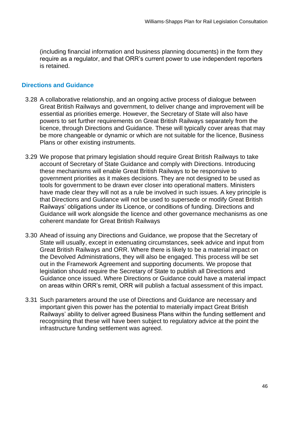(including financial information and business planning documents) in the form they require as a regulator, and that ORR's current power to use independent reporters is retained.

### **Directions and Guidance**

- 3.28 A collaborative relationship, and an ongoing active process of dialogue between Great British Railways and government, to deliver change and improvement will be essential as priorities emerge. However, the Secretary of State will also have powers to set further requirements on Great British Railways separately from the licence, through Directions and Guidance. These will typically cover areas that may be more changeable or dynamic or which are not suitable for the licence, Business Plans or other existing instruments.
- 3.29 We propose that primary legislation should require Great British Railways to take account of Secretary of State Guidance and comply with Directions. Introducing these mechanisms will enable Great British Railways to be responsive to government priorities as it makes decisions. They are not designed to be used as tools for government to be drawn ever closer into operational matters. Ministers have made clear they will not as a rule be involved in such issues. A key principle is that Directions and Guidance will not be used to supersede or modify Great British Guidance will work alongside the licence and other governance mechanisms as one coherent mandate for Great British Railways Railways' obligations under its Licence, or conditions of funding. Directions and
- 3.30 Ahead of issuing any Directions and Guidance, we propose that the Secretary of State will usually, except in extenuating circumstances, seek advice and input from Great British Railways and ORR. Where there is likely to be a material impact on the Devolved Administrations, they will also be engaged. This process will be set out in the Framework Agreement and supporting documents. We propose that legislation should require the Secretary of State to publish all Directions and Guidance once issued. Where Directions or Guidance could have a material impact on areas within ORR's remit, ORR will publish a factual assessment of this impact.
- 3.31 Such parameters around the use of Directions and Guidance are necessary and important given this power has the potential to materially impact Great British Railways' ability to deliver agreed Business Plans within the funding settlement and recognising that these will have been subject to regulatory advice at the point the infrastructure funding settlement was agreed.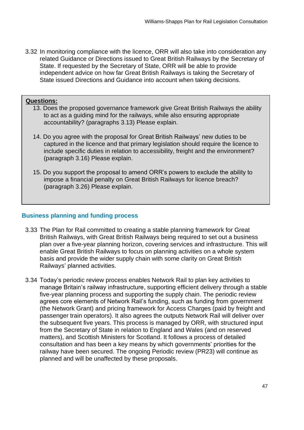3.32 In monitoring compliance with the licence, ORR will also take into consideration any related Guidance or Directions issued to Great British Railways by the Secretary of State. If requested by the Secretary of State, ORR will be able to provide independent advice on how far Great British Railways is taking the Secretary of State issued Directions and Guidance into account when taking decisions.

## **Questions:**

- 13. Does the proposed governance framework give Great British Railways the ability to act as a guiding mind for the railways, while also ensuring appropriate accountability? (paragraphs 3.13) Please explain.
- 14. Do you agree with the proposal for Great British Railways' new duties to be captured in the licence and that primary legislation should require the licence to include specific duties in relation to accessibility, freight and the environment? (paragraph 3.16) Please explain.
- 15. Do you support the proposal to amend ORR's powers to exclude the ability to impose a financial penalty on Great British Railways for licence breach? (paragraph 3.26) Please explain.

#### **Business planning and funding process**

- 3.33 The Plan for Rail committed to creating a stable planning framework for Great British Railways, with Great British Railways being required to set out a business plan over a five-year planning horizon, covering services and infrastructure. This will enable Great British Railways to focus on planning activities on a whole system basis and provide the wider supply chain with some clarity on Great British Railways' planned activities.
- 3.34 Today's periodic review process enables Network Rail to plan key activities to manage Britain's railway infrastructure, supporting efficient delivery through a stable five-year planning process and supporting the supply chain. The periodic review agrees core elements of Network Rail's funding, such as funding from government (the Network Grant) and pricing framework for Access Charges (paid by freight and passenger train operators). It also agrees the outputs Network Rail will deliver over the subsequent five years. This process is managed by ORR, with structured input from the Secretary of State in relation to England and Wales (and on reserved matters), and Scottish Ministers for Scotland. It follows a process of detailed consultation and has been a key means by which governments' priorities for the railway have been secured. The ongoing Periodic review (PR23) will continue as planned and will be unaffected by these proposals.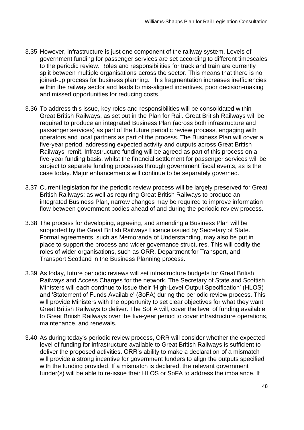- 3.35 However, infrastructure is just one component of the railway system. Levels of government funding for passenger services are set according to different timescales to the periodic review. Roles and responsibilities for track and train are currently split between multiple organisations across the sector. This means that there is no within the railway sector and leads to mis-aligned incentives, poor decision-making and missed opportunities for reducing costs. joined-up process for business planning. This fragmentation increases inefficiencies
- 3.36 To address this issue, key roles and responsibilities will be consolidated within Great British Railways, as set out in the Plan for Rail. Great British Railways will be required to produce an integrated Business Plan (across both infrastructure and passenger services) as part of the future periodic review process, engaging with operators and local partners as part of the process. The Business Plan will cover a five-year period, addressing expected activity and outputs across Great British Railways' remit. Infrastructure funding will be agreed as part of this process on a five-year funding basis, whilst the financial settlement for passenger services will be subject to separate funding processes through government fiscal events, as is the case today. Major enhancements will continue to be separately governed.
- 3.37 Current legislation for the periodic review process will be largely preserved for Great British Railways; as well as requiring Great British Railways to produce an integrated Business Plan, narrow changes may be required to improve information flow between government bodies ahead of and during the periodic review process.
- 3.38 The process for developing, agreeing, and amending a Business Plan will be supported by the Great British Railways Licence issued by Secretary of State. Formal agreements, such as Memoranda of Understanding, may also be put in place to support the process and wider governance structures. This will codify the roles of wider organisations, such as ORR, Department for Transport, and Transport Scotland in the Business Planning process.
- 3.39 As today, future periodic reviews will set infrastructure budgets for Great British Railways and Access Charges for the network. The Secretary of State and Scottish Ministers will each continue to issue their 'High-Level Output Specification' (HLOS) and 'Statement of Funds Available' (SoFA) during the periodic review process. This will provide Ministers with the opportunity to set clear objectives for what they want Great British Railways to deliver. The SoFA will, cover the level of funding available to Great British Railways over the five-year period to cover infrastructure operations, maintenance, and renewals.
- 3.40 As during today's periodic review process, ORR will consider whether the expected level of funding for infrastructure available to Great British Railways is sufficient to deliver the proposed activities. ORR's ability to make a declaration of a mismatch will provide a strong incentive for government funders to align the outputs specified with the funding provided. If a mismatch is declared, the relevant government funder(s) will be able to re-issue their HLOS or SoFA to address the imbalance. If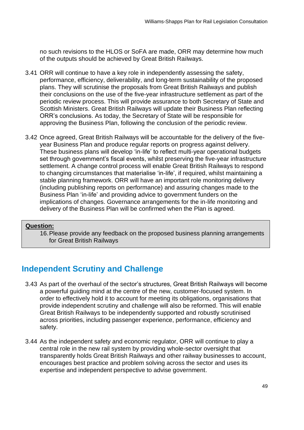no such revisions to the HLOS or SoFA are made, ORR may determine how much of the outputs should be achieved by Great British Railways.

- 3.41 ORR will continue to have a key role in independently assessing the safety, performance, efficiency, deliverability, and long-term sustainability of the proposed plans. They will scrutinise the proposals from Great British Railways and publish their conclusions on the use of the five-year infrastructure settlement as part of the periodic review process. This will provide assurance to both Secretary of State and Scottish Ministers. Great British Railways will update their Business Plan reflecting ORR's conclusions. As today, the Secretary of State will be responsible for approving the Business Plan, following the conclusion of the periodic review.
- 3.42 Once agreed, Great British Railways will be accountable for the delivery of the five- year Business Plan and produce regular reports on progress against delivery. These business plans will develop 'in-life' to reflect multi-year operational budgets set through government's fiscal events, whilst preserving the five-year infrastructure settlement. A change control process will enable Great British Railways to respond to changing circumstances that materialise 'in-life', if required, whilst maintaining a stable planning framework. ORR will have an important role monitoring delivery (including publishing reports on performance) and assuring changes made to the Business Plan 'in-life' and providing advice to government funders on the implications of changes. Governance arrangements for the in-life monitoring and delivery of the Business Plan will be confirmed when the Plan is agreed.

#### **Question:**

 16.Please provide any feedback on the proposed business planning arrangements for Great British Railways

# **Independent Scrutiny and Challenge**

- 3.43 As part of the overhaul of the sector's structures, Great British Railways will become a powerful guiding mind at the centre of the new, customer-focused system. In order to effectively hold it to account for meeting its obligations, organisations that provide independent scrutiny and challenge will also be reformed. This will enable Great British Railways to be independently supported and robustly scrutinised across priorities, including passenger experience, performance, efficiency and safety.
- 3.44 As the independent safety and economic regulator, ORR will continue to play a central role in the new rail system by providing whole-sector oversight that transparently holds Great British Railways and other railway businesses to account, encourages best practice and problem solving across the sector and uses its expertise and independent perspective to advise government.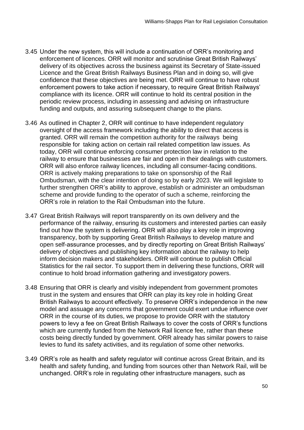- 3.45 Under the new system, this will include a continuation of ORR's monitoring and enforcement of licences. ORR will monitor and scrutinise Great British Railways' Licence and the Great British Railways Business Plan and in doing so, will give confidence that these objectives are being met. ORR will continue to have robust enforcement powers to take action if necessary, to require Great British Railways' compliance with its licence. ORR will continue to hold its central position in the periodic review process, including in assessing and advising on infrastructure funding and outputs, and assuring subsequent change to the plans. delivery of its objectives across the business against its Secretary of State-issued
- 3.46 As outlined in Chapter 2, ORR will continue to have independent regulatory oversight of the access framework including the ability to direct that access is granted. ORR will remain the competition authority for the railways being responsible for taking action on certain rail related competition law issues. As today, ORR will continue enforcing consumer protection law in relation to the railway to ensure that businesses are fair and open in their dealings with customers. ORR will also enforce railway licences, including all consumer-facing conditions. ORR is actively making preparations to take on sponsorship of the Rail Ombudsman, with the clear intention of doing so by early 2023. We will legislate to further strengthen ORR's ability to approve, establish or administer an ombudsman scheme and provide funding to the operator of such a scheme, reinforcing the ORR's role in relation to the Rail Ombudsman into the future.
- 3.47 Great British Railways will report transparently on its own delivery and the performance of the railway, ensuring its customers and interested parties can easily find out how the system is delivering. ORR will also play a key role in improving transparency, both by supporting Great British Railways to develop mature and open self-assurance processes, and by directly reporting on Great British Railways' delivery of objectives and publishing key information about the railway to help inform decision makers and stakeholders. ORR will continue to publish Official Statistics for the rail sector. To support them in delivering these functions, ORR will continue to hold broad information gathering and investigatory powers.
- 3.48 Ensuring that ORR is clearly and visibly independent from government promotes trust in the system and ensures that ORR can play its key role in holding Great British Railways to account effectively. To preserve ORR's independence in the new model and assuage any concerns that government could exert undue influence over ORR in the course of its duties, we propose to provide ORR with the statutory powers to levy a fee on Great British Railways to cover the costs of ORR's functions which are currently funded from the Network Rail licence fee, rather than these costs being directly funded by government. ORR already has similar powers to raise levies to fund its safety activities, and its regulation of some other networks.
- 3.49 ORR's role as health and safety regulator will continue across Great Britain, and its health and safety funding, and funding from sources other than Network Rail, will be unchanged. ORR's role in regulating other infrastructure managers, such as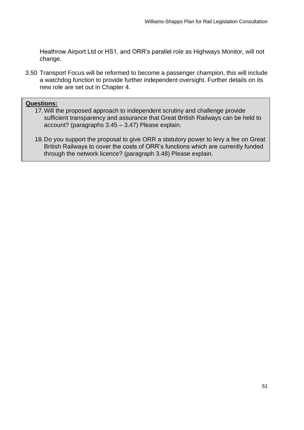Heathrow Airport Ltd or HS1, and ORR's parallel role as Highways Monitor, will not change.

 3.50 Transport Focus will be reformed to become a passenger champion, this will include a watchdog function to provide further independent oversight. Further details on its new role are set out in Chapter 4.

#### **Questions:**

- 17.Will the proposed approach to independent scrutiny and challenge provide sufficient transparency and assurance that Great British Railways can be held to account? (paragraphs 3.45 – 3.47) Please explain.
- 18.Do you support the proposal to give ORR a statutory power to levy a fee on Great British Railways to cover the costs of ORR's functions which are currently funded through the network licence? (paragraph 3.48) Please explain.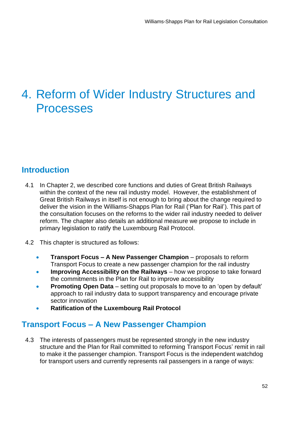# 4. Reform of Wider Industry Structures and Processes

# **Introduction**

- 4.1 In Chapter 2, we described core functions and duties of Great British Railways within the context of the new rail industry model. However, the establishment of Great British Railways in itself is not enough to bring about the change required to deliver the vision in the Williams-Shapps Plan for Rail ('Plan for Rail'). This part of the consultation focuses on the reforms to the wider rail industry needed to deliver reform. The chapter also details an additional measure we propose to include in primary legislation to ratify the Luxembourg Rail Protocol.
- 4.2 This chapter is structured as follows:
	- Transport Focus to create a new passenger champion for the rail industry **• Transport Focus – A New Passenger Champion** – proposals to reform
	- **Improving Accessibility on the Railways** how we propose to take forward the commitments in the Plan for Rail to improve accessibility
	- **Promoting Open Data** setting out proposals to move to an 'open by default' approach to rail industry data to support transparency and encourage private sector innovation
	- **Ratification of the Luxembourg Rail Protocol**

# **Transport Focus – A New Passenger Champion**

 4.3 The interests of passengers must be represented strongly in the new industry structure and the Plan for Rail committed to reforming Transport Focus' remit in rail to make it the passenger champion. Transport Focus is the independent watchdog for transport users and currently represents rail passengers in a range of ways: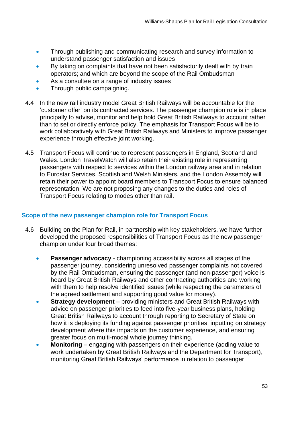- Through publishing and communicating research and survey information to understand passenger satisfaction and issues
- By taking on complaints that have not been satisfactorily dealt with by train operators; and which are beyond the scope of the Rail Ombudsman
- As a consultee on a range of industry issues
- Through public campaigning.
- 4.4 In the new rail industry model Great British Railways will be accountable for the 'customer offer' on its contracted services. The passenger champion role is in place principally to advise, monitor and help hold Great British Railways to account rather than to set or directly enforce policy. The emphasis for Transport Focus will be to work collaboratively with Great British Railways and Ministers to improve passenger experience through effective joint working.
- 4.5 Transport Focus will continue to represent passengers in England, Scotland and Wales. London TravelWatch will also retain their existing role in representing passengers with respect to services within the London railway area and in relation to Eurostar Services. Scottish and Welsh Ministers, and the London Assembly will retain their power to appoint board members to Transport Focus to ensure balanced representation. We are not proposing any changes to the duties and roles of Transport Focus relating to modes other than rail.

## **Scope of the new passenger champion role for Transport Focus**

- 4.6 Building on the Plan for Rail, in partnership with key stakeholders, we have further developed the proposed responsibilities of Transport Focus as the new passenger champion under four broad themes:
	- • **Passenger advocacy**  championing accessibility across all stages of the passenger journey, considering unresolved passenger complaints not covered by the Rail Ombudsman, ensuring the passenger (and non-passenger) voice is heard by Great British Railways and other contracting authorities and working with them to help resolve identified issues (while respecting the parameters of the agreed settlement and supporting good value for money).
	- • **Strategy development**  providing ministers and Great British Railways with advice on passenger priorities to feed into five-year business plans, holding Great British Railways to account through reporting to Secretary of State on how it is deploying its funding against passenger priorities, inputting on strategy development where this impacts on the customer experience, and ensuring greater focus on multi-modal whole journey thinking.
	- **Monitoring** engaging with passengers on their experience (adding value to work undertaken by Great British Railways and the Department for Transport), monitoring Great British Railways' performance in relation to passenger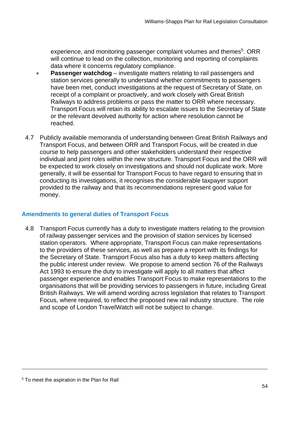will continue to lead on the collection, monitoring and reporting of complaints data where it concerns regulatory compliance. experience, and monitoring passenger complaint volumes and themes<sup>5</sup>. ORR

- **Passenger watchdog** investigate matters relating to rail passengers and have been met, conduct investigations at the request of Secretary of State, on receipt of a complaint or proactively, and work closely with Great British Railways to address problems or pass the matter to ORR where necessary. Transport Focus will retain its ability to escalate issues to the Secretary of State or the relevant devolved authority for action where resolution cannot be station services generally to understand whether commitments to passengers reached.
- 4.7 Publicly available memoranda of understanding between Great British Railways and Transport Focus, and between ORR and Transport Focus, will be created in due course to help passengers and other stakeholders understand their respective individual and joint roles within the new structure. Transport Focus and the ORR will be expected to work closely on investigations and should not duplicate work. More generally, it will be essential for Transport Focus to have regard to ensuring that in conducting its investigations, it recognises the considerable taxpayer support provided to the railway and that its recommendations represent good value for money.

## **Amendments to general duties of Transport Focus**

 4.8 Transport Focus currently has a duty to investigate matters relating to the provision of railway passenger services and the provision of station services by licensed station operators. Where appropriate, Transport Focus can make representations to the providers of these services, as well as prepare a report with its findings for the Secretary of State. Transport Focus also has a duty to keep matters affecting the public interest under review. We propose to amend section 76 of the Railways Act 1993 to ensure the duty to investigate will apply to all matters that affect passenger experience and enables Transport Focus to make representations to the organisations that will be providing services to passengers in future, including Great British Railways. We will amend wording across legislation that relates to Transport Focus, where required, to reflect the proposed new rail industry structure. The role and scope of London TravelWatch will not be subject to change.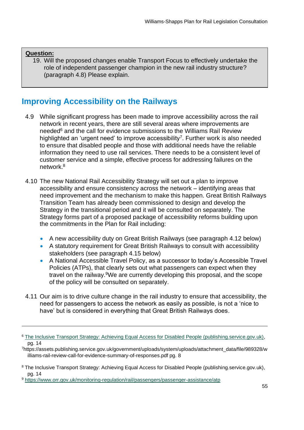### **Question:**

 19. Will the proposed changes enable Transport Focus to effectively undertake the role of independent passenger champion in the new rail industry structure? (paragraph 4.8) Please explain.

# **Improving Accessibility on the Railways**

- 4.9 While significant progress has been made to improve accessibility across the rail network in recent years, there are still several areas where improvements are needed<sup>6</sup> and the call for evidence submissions to the Williams Rail Review highlighted an 'urgent need' to improve accessibility<sup>7</sup>. Further work is also needed to ensure that disabled people and those with additional needs have the reliable information they need to use rail services. There needs to be a consistent level of customer service and a simple, effective process for addressing failures on the network.8
- 4.10 The new National Rail Accessibility Strategy will set out a plan to improve accessibility and ensure consistency across the network – identifying areas that need improvement and the mechanism to make this happen. Great British Railways Transition Team has already been commissioned to design and develop the Strategy in the transitional period and it will be consulted on separately. The Strategy forms part of a proposed package of accessibility reforms building upon the commitments in the Plan for Rail including:
	- A new accessibility duty on Great British Railways (see paragraph 4.12 below)
	- • A statutory requirement for Great British Railways to consult with accessibility stakeholders (see paragraph 4.15 below)
	- • A National Accessible Travel Policy, as a successor to today's Accessible Travel Policies (ATPs), that clearly sets out what passengers can expect when they travel on the railway.<sup>9</sup>We are currently developing this proposal, and the scope of the policy will be consulted on separately.
- 4.11 Our aim is to drive culture change in the rail industry to ensure that accessibility, the need for passengers to access the network as easily as possible, is not a 'nice to have' but is considered in everything that Great British Railways does.

<sup>6</sup> [The Inclusive Transport Strategy: Achieving Equal Access for Disabled People \(publishing.service.gov.uk\),](file:///C:/Users/OBASSETT/Downloads/The%20Inclusive%20Transport%20Strategy:%20Achieving%20Equal%20Access%20for%20Disabled%20People%20(publishing.service.gov.uk)) pg. 14<br><sup>7</sup>https://assets.publishing.service.gov.uk/government/uploads/system/uploads/attachment\_data/file/989328/w

illiams-rail-review-call-for-evidence-summary-of-responses.pdf pg. 8

<sup>&</sup>lt;sup>8</sup> [The Inclusive Transport Strategy: Achieving Equal Access for Disabled People \(publishing.service.gov.uk\),](https://assets.publishing.service.gov.uk/government/uploads/system/uploads/attachment_data/file/728547/inclusive-transport-strategy.pdf) pg. 14

<sup>9</sup><https://www.orr.gov.uk/monitoring-regulation/rail/passengers/passenger-assistance/atp>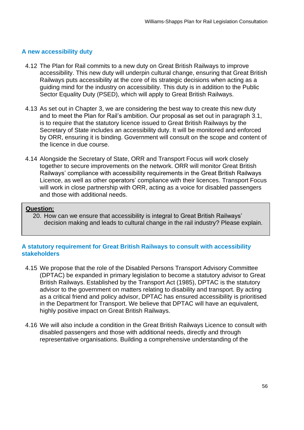## **A new accessibility duty**

- 4.12 The Plan for Rail commits to a new duty on Great British Railways to improve accessibility. This new duty will underpin cultural change, ensuring that Great British Railways puts accessibility at the core of its strategic decisions when acting as a guiding mind for the industry on accessibility. This duty is in addition to the Public Sector Equality Duty (PSED), which will apply to Great British Railways.
- 4.13 As set out in Chapter 3, we are considering the best way to create this new duty and to meet the Plan for Rail's ambition. Our proposal as set out in paragraph 3.1, is to require that the statutory licence issued to Great British Railways by the Secretary of State includes an accessibility duty. It will be monitored and enforced by ORR, ensuring it is binding. Government will consult on the scope and content of the licence in due course.
- 4.14 Alongside the Secretary of State, ORR and Transport Focus will work closely together to secure improvements on the network. ORR will monitor Great British Railways' compliance with accessibility requirements in the Great British Railways Licence, as well as other operators' compliance with their licences. Transport Focus will work in close partnership with ORR, acting as a voice for disabled passengers and those with additional needs.

#### **Question:**

 20. How can we ensure that accessibility is integral to Great British Railways' decision making and leads to cultural change in the rail industry? Please explain.

## **A statutory requirement for Great British Railways to consult with accessibility stakeholders**

- 4.15 We propose that the role of the Disabled Persons Transport Advisory Committee (DPTAC) be expanded in primary legislation to become a statutory advisor to Great British Railways. Established by the Transport Act (1985), DPTAC is the statutory advisor to the government on matters relating to disability and transport. By acting as a critical friend and policy advisor, DPTAC has ensured accessibility is prioritised in the Department for Transport. We believe that DPTAC will have an equivalent, highly positive impact on Great British Railways.
- 4.16 We will also include a condition in the Great British Railways Licence to consult with disabled passengers and those with additional needs, directly and through representative organisations. Building a comprehensive understanding of the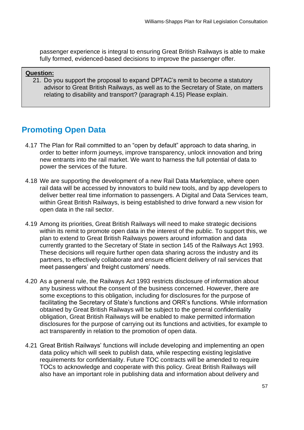fully formed, evidenced-based decisions to improve the passenger offer. passenger experience is integral to ensuring Great British Railways is able to make

#### **Question:**

 21. Do you support the proposal to expand DPTAC's remit to become a statutory advisor to Great British Railways, as well as to the Secretary of State, on matters relating to disability and transport? (paragraph 4.15) Please explain.

# **Promoting Open Data**

- 4.17 The Plan for Rail committed to an "open by default" approach to data sharing, in order to better inform journeys, improve transparency, unlock innovation and bring new entrants into the rail market. We want to harness the full potential of data to power the services of the future.
- 4.18 We are supporting the development of a new Rail Data Marketplace, where open rail data will be accessed by innovators to build new tools, and by app developers to deliver better real time information to passengers. A Digital and Data Services team, within Great British Railways, is being established to drive forward a new vision for open data in the rail sector.
- 4.19 Among its priorities, Great British Railways will need to make strategic decisions within its remit to promote open data in the interest of the public. To support this, we plan to extend to Great British Railways powers around information and data currently granted to the Secretary of State in section 145 of the Railways Act 1993. These decisions will require further open data sharing across the industry and its partners, to effectively collaborate and ensure efficient delivery of rail services that meet passengers' and freight customers' needs.
- 4.20 As a general rule, the Railways Act 1993 restricts disclosure of information about any business without the consent of the business concerned. However, there are some exceptions to this obligation, including for disclosures for the purpose of facilitating the Secretary of State's functions and ORR's functions. While information obtained by Great British Railways will be subject to the general confidentiality obligation, Great British Railways will be enabled to make permitted information disclosures for the purpose of carrying out its functions and activities, for example to act transparently in relation to the promotion of open data.
- 4.21 Great British Railways' functions will include developing and implementing an open data policy which will seek to publish data, while respecting existing legislative requirements for confidentiality. Future TOC contracts will be amended to require TOCs to acknowledge and cooperate with this policy. Great British Railways will also have an important role in publishing data and information about delivery and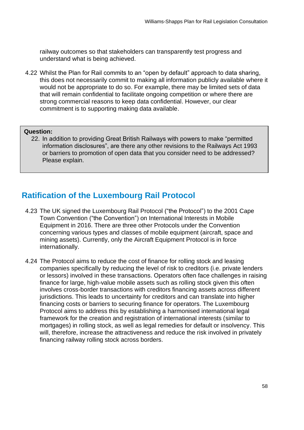railway outcomes so that stakeholders can transparently test progress and understand what is being achieved.

 4.22 Whilst the Plan for Rail commits to an "open by default" approach to data sharing, this does not necessarily commit to making all information publicly available where it would not be appropriate to do so. For example, there may be limited sets of data that will remain confidential to facilitate ongoing competition or where there are strong commercial reasons to keep data confidential. However, our clear commitment is to supporting making data available.

#### **Question:**

 22. In addition to providing Great British Railways with powers to make "permitted information disclosures", are there any other revisions to the Railways Act 1993 or barriers to promotion of open data that you consider need to be addressed? Please explain.

# **Ratification of the Luxembourg Rail Protocol**

- 4.23 The UK signed the Luxembourg Rail Protocol ("the Protocol") to the 2001 Cape Town Convention ("the Convention") on International Interests in Mobile Equipment in 2016. There are three other Protocols under the Convention concerning various types and classes of mobile equipment (aircraft, space and mining assets). Currently, only the Aircraft Equipment Protocol is in force internationally.
- 4.24 The Protocol aims to reduce the cost of finance for rolling stock and leasing companies specifically by reducing the level of risk to creditors (i.e. private lenders or lessors) involved in these transactions. Operators often face challenges in raising finance for large, high-value mobile assets such as rolling stock given this often jurisdictions. This leads to uncertainty for creditors and can translate into higher financing costs or barriers to securing finance for operators. The Luxembourg Protocol aims to address this by establishing a harmonised international legal framework for the creation and registration of international interests (similar to mortgages) in rolling stock, as well as legal remedies for default or insolvency. This will, therefore, increase the attractiveness and reduce the risk involved in privately involves cross-border transactions with creditors financing assets across different financing railway rolling stock across borders.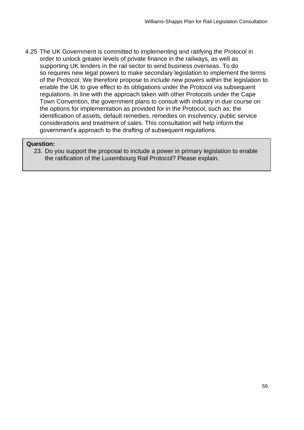4.25 The UK Government is committed to implementing and ratifying the Protocol in order to unlock greater levels of private finance in the railways, as well as supporting UK lenders in the rail sector to wind business overseas. To do so requires new legal powers to make secondary legislation to implement the terms of the Protocol. We therefore propose to include new powers within the legislation to enable the UK to give effect to its obligations under the Protocol via subsequent regulations. In line with the approach taken with other Protocols under the Cape Town Convention, the government plans to consult with industry in due course on the options for implementation as provided for in the Protocol, such as: the identification of assets, default remedies, remedies on insolvency, public service considerations and treatment of sales. This consultation will help inform the government's approach to the drafting of subsequent regulations.

#### **Question:**

 23. Do you support the proposal to include a power in primary legislation to enable the ratification of the Luxembourg Rail Protocol? Please explain.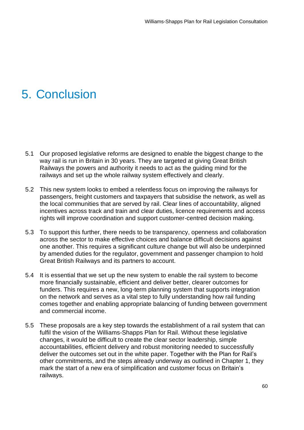# 5. Conclusion

- 5.1 Our proposed legislative reforms are designed to enable the biggest change to the way rail is run in Britain in 30 years. They are targeted at giving Great British Railways the powers and authority it needs to act as the guiding mind for the railways and set up the whole railway system effectively and clearly.
- 5.2 This new system looks to embed a relentless focus on improving the railways for passengers, freight customers and taxpayers that subsidise the network, as well as the local communities that are served by rail. Clear lines of accountability, aligned incentives across track and train and clear duties, licence requirements and access rights will improve coordination and support customer-centred decision making.
- 5.3 To support this further, there needs to be transparency, openness and collaboration across the sector to make effective choices and balance difficult decisions against one another. This requires a significant culture change but will also be underpinned by amended duties for the regulator, government and passenger champion to hold Great British Railways and its partners to account.
- 5.4 It is essential that we set up the new system to enable the rail system to become more financially sustainable, efficient and deliver better, clearer outcomes for funders. This requires a new, long-term planning system that supports integration on the network and serves as a vital step to fully understanding how rail funding comes together and enabling appropriate balancing of funding between government and commercial income.
- 5.5 These proposals are a key step towards the establishment of a rail system that can fulfil the vision of the Williams-Shapps Plan for Rail. Without these legislative changes, it would be difficult to create the clear sector leadership, simple accountabilities, efficient delivery and robust monitoring needed to successfully deliver the outcomes set out in the white paper. Together with the Plan for Rail's other commitments, and the steps already underway as outlined in Chapter 1, they mark the start of a new era of simplification and customer focus on Britain's railways.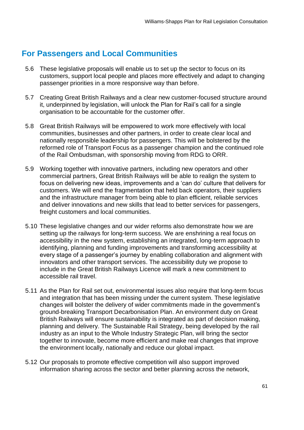# **For Passengers and Local Communities**

- 5.6 These legislative proposals will enable us to set up the sector to focus on its customers, support local people and places more effectively and adapt to changing passenger priorities in a more responsive way than before.
- 5.7 Creating Great British Railways and a clear new customer-focused structure around it, underpinned by legislation, will unlock the Plan for Rail's call for a single organisation to be accountable for the customer offer.
- 5.8 Great British Railways will be empowered to work more effectively with local communities, businesses and other partners, in order to create clear local and nationally responsible leadership for passengers. This will be bolstered by the reformed role of Transport Focus as a passenger champion and the continued role of the Rail Ombudsman, with sponsorship moving from RDG to ORR.
- 5.9 Working together with innovative partners, including new operators and other commercial partners, Great British Railways will be able to realign the system to focus on delivering new ideas, improvements and a 'can do' culture that delivers for customers. We will end the fragmentation that held back operators, their suppliers and the infrastructure manager from being able to plan efficient, reliable services and deliver innovations and new skills that lead to better services for passengers, freight customers and local communities.
- 5.10 These legislative changes and our wider reforms also demonstrate how we are setting up the railways for long-term success. We are enshrining a real focus on accessibility in the new system, establishing an integrated, long-term approach to identifying, planning and funding improvements and transforming accessibility at every stage of a passenger's journey by enabling collaboration and alignment with innovators and other transport services. The accessibility duty we propose to include in the Great British Railways Licence will mark a new commitment to accessible rail travel.
- 5.11 As the Plan for Rail set out, environmental issues also require that long-term focus and integration that has been missing under the current system. These legislative changes will bolster the delivery of wider commitments made in the government's British Railways will ensure sustainability is integrated as part of decision making, planning and delivery. The Sustainable Rail Strategy, being developed by the rail industry as an input to the Whole Industry Strategic Plan, will bring the sector together to innovate, become more efficient and make real changes that improve the environment locally, nationally and reduce our global impact. ground-breaking Transport Decarbonisation Plan. An environment duty on Great
- 5.12 Our proposals to promote effective competition will also support improved information sharing across the sector and better planning across the network,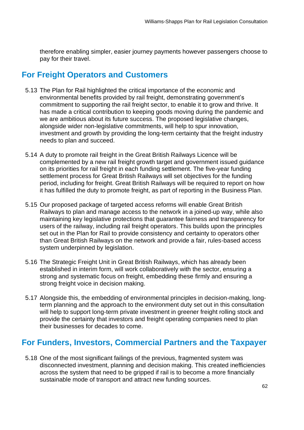therefore enabling simpler, easier journey payments however passengers choose to pay for their travel.

# **For Freight Operators and Customers**

- 5.13 The Plan for Rail highlighted the critical importance of the economic and environmental benefits provided by rail freight, demonstrating government's commitment to supporting the rail freight sector, to enable it to grow and thrive. It has made a critical contribution to keeping goods moving during the pandemic and we are ambitious about its future success. The proposed legislative changes, alongside wider non-legislative commitments, will help to spur innovation, investment and growth by providing the long-term certainty that the freight industry needs to plan and succeed.
- 5.14 A duty to promote rail freight in the Great British Railways Licence will be complemented by a new rail freight growth target and government issued guidance on its priorities for rail freight in each funding settlement. The five-year funding settlement process for Great British Railways will set objectives for the funding period, including for freight. Great British Railways will be required to report on how it has fulfilled the duty to promote freight, as part of reporting in the Business Plan.
- 5.15 Our proposed package of targeted access reforms will enable Great British Railways to plan and manage access to the network in a joined-up way, while also maintaining key legislative protections that guarantee fairness and transparency for users of the railway, including rail freight operators. This builds upon the principles set out in the Plan for Rail to provide consistency and certainty to operators other than Great British Railways on the network and provide a fair, rules-based access system underpinned by legislation.
- 5.16 The Strategic Freight Unit in Great British Railways, which has already been established in interim form, will work collaboratively with the sector, ensuring a strong and systematic focus on freight, embedding these firmly and ensuring a strong freight voice in decision making.
- 5.17 Alongside this, the embedding of environmental principles in decision-making, long- term planning and the approach to the environment duty set out in this consultation will help to support long-term private investment in greener freight rolling stock and provide the certainty that investors and freight operating companies need to plan their businesses for decades to come.

# **For Funders, Investors, Commercial Partners and the Taxpayer**

 5.18 One of the most significant failings of the previous, fragmented system was disconnected investment, planning and decision making. This created inefficiencies across the system that need to be gripped if rail is to become a more financially sustainable mode of transport and attract new funding sources.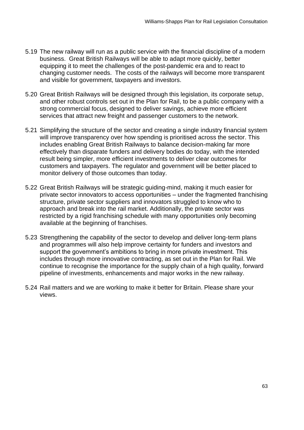- 5.19 The new railway will run as a public service with the financial discipline of a modern business. Great British Railways will be able to adapt more quickly, better equipping it to meet the challenges of the post-pandemic era and to react to changing customer needs. The costs of the railways will become more transparent and visible for government, taxpayers and investors.
- 5.20 Great British Railways will be designed through this legislation, its corporate setup, and other robust controls set out in the Plan for Rail, to be a public company with a strong commercial focus, designed to deliver savings, achieve more efficient services that attract new freight and passenger customers to the network.
- 5.21 Simplifying the structure of the sector and creating a single industry financial system will improve transparency over how spending is prioritised across the sector. This includes enabling Great British Railways to balance decision-making far more effectively than disparate funders and delivery bodies do today, with the intended result being simpler, more efficient investments to deliver clear outcomes for customers and taxpayers. The regulator and government will be better placed to monitor delivery of those outcomes than today.
- 5.22 Great British Railways will be strategic guiding-mind, making it much easier for private sector innovators to access opportunities – under the fragmented franchising structure, private sector suppliers and innovators struggled to know who to approach and break into the rail market. Additionally, the private sector was restricted by a rigid franchising schedule with many opportunities only becoming available at the beginning of franchises.
- 5.23 Strengthening the capability of the sector to develop and deliver long-term plans and programmes will also help improve certainty for funders and investors and support the government's ambitions to bring in more private investment. This includes through more innovative contracting, as set out in the Plan for Rail. We continue to recognise the importance for the supply chain of a high quality, forward pipeline of investments, enhancements and major works in the new railway.
- 5.24 Rail matters and we are working to make it better for Britain. Please share your views.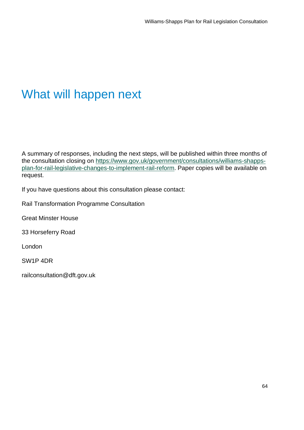# What will happen next

 A summary of responses, including the next steps, will be published within three months of the consultation closing on [https://www.gov.uk/government/consultations/williams-shapps-](https://www.gov.uk/government/consultations/williams-shapps-plan-for-rail-legislative-changes-to-implement-rail-reform) [plan-for-rail-legislative-changes-to-implement-rail-reform.](https://www.gov.uk/government/consultations/williams-shapps-plan-for-rail-legislative-changes-to-implement-rail-reform) Paper copies will be available on request.

If you have questions about this consultation please contact:

Rail Transformation Programme Consultation

Great Minster House

33 Horseferry Road

London

SW1P 4DR

railconsultation@dft.gov.uk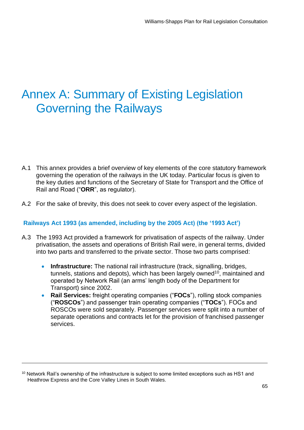# Annex A: Summary of Existing Legislation Governing the Railways

- A.1 This annex provides a brief overview of key elements of the core statutory framework governing the operation of the railways in the UK today. Particular focus is given to the key duties and functions of the Secretary of State for Transport and the Office of Rail and Road ("**ORR**", as regulator).
- A.2 For the sake of brevity, this does not seek to cover every aspect of the legislation.

## **Railways Act 1993 (as amended, including by the 2005 Act) (the '1993 Act')**

- A.3 The 1993 Act provided a framework for privatisation of aspects of the railway. Under privatisation, the assets and operations of British Rail were, in general terms, divided into two parts and transferred to the private sector. Those two parts comprised:
	- • **Infrastructure:** The national rail infrastructure (track, signalling, bridges, tunnels, stations and depots), which has been largely owned<sup>10</sup>, maintained and operated by Network Rail (an arms' length body of the Department for Transport) since 2002.
	- • **Rail Services:** freight operating companies ("**FOCs**"), rolling stock companies ("**ROSCOs**") and passenger train operating companies ("**TOCs**"). FOCs and ROSCOs were sold separately. Passenger services were split into a number of separate operations and contracts let for the provision of franchised passenger services.

<sup>&</sup>lt;sup>10</sup> Network Rail's ownership of the infrastructure is subject to some limited exceptions such as HS1 and Heathrow Express and the Core Valley Lines in South Wales.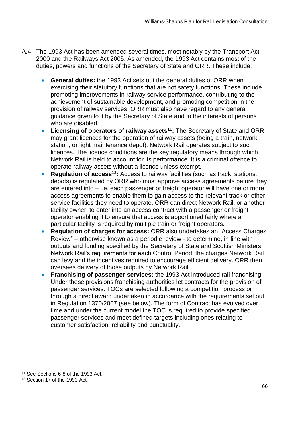- A.4 The 1993 Act has been amended several times, most notably by the Transport Act 2000 and the Railways Act 2005. As amended, the 1993 Act contains most of the duties, powers and functions of the Secretary of State and ORR. These include:
	- • **General duties:** the 1993 Act sets out the general duties of ORR when exercising their statutory functions that are not safety functions. These include promoting improvements in railway service performance, contributing to the achievement of sustainable development, and promoting competition in the provision of railway services. ORR must also have regard to any general guidance given to it by the Secretary of State and to the interests of persons who are disabled.
	- Licensing of operators of railway assets<sup>11</sup>: The Secretary of State and ORR may grant licences for the operation of railway assets (being a train, network, station, or light maintenance depot). Network Rail operates subject to such licences. The licence conditions are the key regulatory means through which Network Rail is held to account for its performance. It is a criminal offence to operate railway assets without a licence unless exempt.
	- **Regulation of access<sup>12</sup>:** Access to railway facilities (such as track, stations, depots) is regulated by ORR who must approve access agreements before they are entered into – i.e. each passenger or freight operator will have one or more access agreements to enable them to gain access to the relevant track or other service facilities they need to operate. ORR can direct Network Rail, or another facility owner, to enter into an access contract with a passenger or freight operator enabling it to ensure that access is apportioned fairly where a particular facility is required by multiple train or freight operators.
	- **Regulation of charges for access:** ORR also undertakes an "Access Charges Review" – otherwise known as a periodic review - to determine, in line with outputs and funding specified by the Secretary of State and Scottish Ministers, Network Rail's requirements for each Control Period, the charges Network Rail can levy and the incentives required to encourage efficient delivery. ORR then oversees delivery of those outputs by Network Rail.
	- • **Franchising of passenger services:** the 1993 Act introduced rail franchising. Under these provisions franchising authorities let contracts for the provision of passenger services. TOCs are selected following a competition process or through a direct award undertaken in accordance with the requirements set out in Regulation 1370/2007 (see below). The form of Contract has evolved over time and under the current model the TOC is required to provide specified passenger services and meet defined targets including ones relating to customer satisfaction, reliability and punctuality.

<sup>11</sup> See Sections 6-8 of the 1993 Act.

<sup>&</sup>lt;sup>12</sup> Section 17 of the 1993 Act.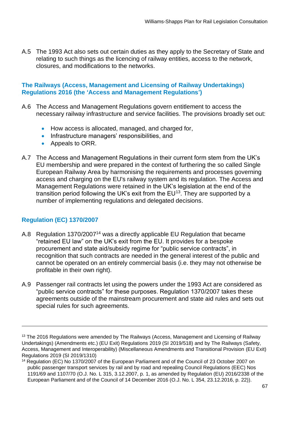A.5 The 1993 Act also sets out certain duties as they apply to the Secretary of State and relating to such things as the licencing of railway entities, access to the network, closures, and modifications to the networks.

## **The Railways (Access, Management and Licensing of Railway Undertakings) Regulations 2016 (the 'Access and Management Regulations')**

- A.6 The Access and Management Regulations govern entitlement to access the necessary railway infrastructure and service facilities. The provisions broadly set out:
	- How access is allocated, managed, and charged for,
	- Infrastructure managers' responsibilities, and
	- Appeals to ORR.
- EU membership and were prepared in the context of furthering the so called Single European Railway Area by harmonising the requirements and processes governing access and charging on the EU's railway system and its regulation. The Access and Management Regulations were retained in the UK's legislation at the end of the transition period following the UK's exit from the  $EU^{13}$ . They are supported by a number of implementing regulations and delegated decisions. A.7 The Access and Management Regulations in their current form stem from the UK's

# **Regulation (EC) 1370/2007**

- A.8 Regulation 1370/2007<sup>14</sup> was a directly applicable EU Regulation that became "retained EU law" on the UK's exit from the EU. It provides for a bespoke procurement and state aid/subsidy regime for "public service contracts", in recognition that such contracts are needed in the general interest of the public and cannot be operated on an entirely commercial basis (i.e. they may not otherwise be profitable in their own right).
- A.9 Passenger rail contracts let using the powers under the 1993 Act are considered as "public service contracts" for these purposes. Regulation 1370/2007 takes these agreements outside of the mainstream procurement and state aid rules and sets out special rules for such agreements.

 $13$  The 2016 Regulations were amended by The Railways (Access, Management and Licensing of Railway Undertakings) (Amendments etc.) (EU Exit) Regulations 2019 (SI 2019/518) and by The Railways (Safety, Access, Management and Interoperability) (Miscellaneous Amendments and Transitional Provision (EU Exit) Regulations 2019 (SI 2019/1310)

 1191/69 and 1107/70 (O.J. No. L 315, 3.12.2007, p. 1, as amended by Regulation (EU) 2016/2338 of the 14 Regulation (EC) No 1370/2007 of the European Parliament and of the Council of 23 October 2007 on public passenger transport services by rail and by road and repealing Council Regulations (EEC) Nos European Parliament and of the Council of 14 December 2016 (O.J. No. L 354, 23.12.2016, p. 22)).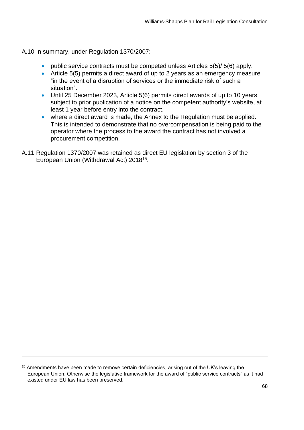A.10 In summary, under Regulation 1370/2007:

- public service contracts must be competed unless Articles 5(5)/ 5(6) apply.
- • Article 5(5) permits a direct award of up to 2 years as an emergency measure "in the event of a disruption of services or the immediate risk of such a situation".
- • Until 25 December 2023, Article 5(6) permits direct awards of up to 10 years subject to prior publication of a notice on the competent authority's website, at least 1 year before entry into the contract.
- • where a direct award is made, the Annex to the Regulation must be applied. This is intended to demonstrate that no overcompensation is being paid to the operator where the process to the award the contract has not involved a procurement competition.
- A.11 Regulation 1370/2007 was retained as direct EU legislation by section 3 of the European Union (Withdrawal Act) 201815.

<sup>&</sup>lt;sup>15</sup> Amendments have been made to remove certain deficiencies, arising out of the UK's leaving the European Union. Otherwise the legislative framework for the award of "public service contracts" as it had existed under EU law has been preserved.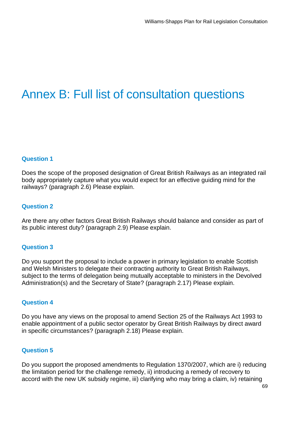# Annex B: Full list of consultation questions

#### **Question 1**

 Does the scope of the proposed designation of Great British Railways as an integrated rail body appropriately capture what you would expect for an effective guiding mind for the railways? (paragraph 2.6) Please explain.

#### **Question 2**

 Are there any other factors Great British Railways should balance and consider as part of its public interest duty? (paragraph 2.9) Please explain.

#### **Question 3**

 Do you support the proposal to include a power in primary legislation to enable Scottish and Welsh Ministers to delegate their contracting authority to Great British Railways, subject to the terms of delegation being mutually acceptable to ministers in the Devolved Administration(s) and the Secretary of State? (paragraph 2.17) Please explain.

#### **Question 4**

 Do you have any views on the proposal to amend Section 25 of the Railways Act 1993 to enable appointment of a public sector operator by Great British Railways by direct award in specific circumstances? (paragraph 2.18) Please explain.

#### **Question 5**

 Do you support the proposed amendments to Regulation 1370/2007, which are i) reducing the limitation period for the challenge remedy, ii) introducing a remedy of recovery to accord with the new UK subsidy regime, iii) clarifying who may bring a claim, iv) retaining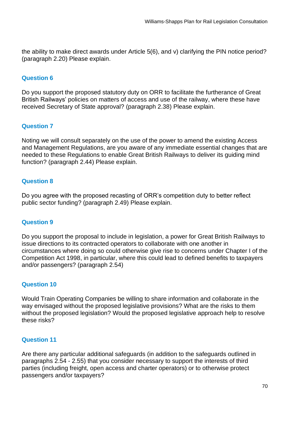the ability to make direct awards under Article 5(6), and v) clarifying the PIN notice period? (paragraph 2.20) Please explain.

## **Question 6**

 Do you support the proposed statutory duty on ORR to facilitate the furtherance of Great British Railways' policies on matters of access and use of the railway, where these have received Secretary of State approval? (paragraph 2.38) Please explain.

## **Question 7**

 Noting we will consult separately on the use of the power to amend the existing Access and Management Regulations, are you aware of any immediate essential changes that are needed to these Regulations to enable Great British Railways to deliver its guiding mind function? (paragraph 2.44) Please explain.

## **Question 8**

 Do you agree with the proposed recasting of ORR's competition duty to better reflect public sector funding? (paragraph 2.49) Please explain.

## **Question 9**

 Do you support the proposal to include in legislation, a power for Great British Railways to issue directions to its contracted operators to collaborate with one another in circumstances where doing so could otherwise give rise to concerns under Chapter I of the Competition Act 1998, in particular, where this could lead to defined benefits to taxpayers and/or passengers? (paragraph 2.54)

## **Question 10**

 Would Train Operating Companies be willing to share information and collaborate in the way envisaged without the proposed legislative provisions? What are the risks to them without the proposed legislation? Would the proposed legislative approach help to resolve these risks?

## **Question 11**

 Are there any particular additional safeguards (in addition to the safeguards outlined in paragraphs 2.54 - 2.55) that you consider necessary to support the interests of third parties (including freight, open access and charter operators) or to otherwise protect passengers and/or taxpayers?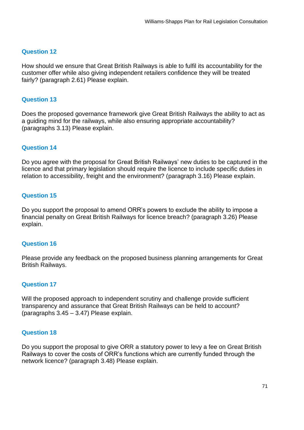#### **Question 12**

 How should we ensure that Great British Railways is able to fulfil its accountability for the customer offer while also giving independent retailers confidence they will be treated fairly? (paragraph 2.61) Please explain.

#### **Question 13**

 Does the proposed governance framework give Great British Railways the ability to act as a guiding mind for the railways, while also ensuring appropriate accountability? (paragraphs 3.13) Please explain.

#### **Question 14**

 Do you agree with the proposal for Great British Railways' new duties to be captured in the licence and that primary legislation should require the licence to include specific duties in relation to accessibility, freight and the environment? (paragraph 3.16) Please explain.

#### **Question 15**

 Do you support the proposal to amend ORR's powers to exclude the ability to impose a financial penalty on Great British Railways for licence breach? (paragraph 3.26) Please explain.

#### **Question 16**

 Please provide any feedback on the proposed business planning arrangements for Great British Railways.

#### **Question 17**

 Will the proposed approach to independent scrutiny and challenge provide sufficient transparency and assurance that Great British Railways can be held to account? (paragraphs 3.45 – 3.47) Please explain.

#### **Question 18**

 Do you support the proposal to give ORR a statutory power to levy a fee on Great British Railways to cover the costs of ORR's functions which are currently funded through the network licence? (paragraph 3.48) Please explain.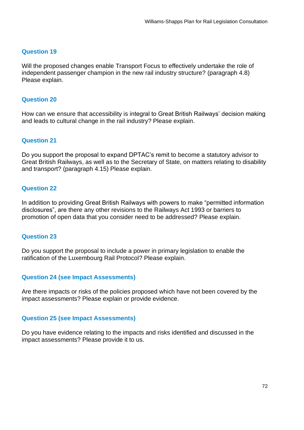## **Question 19**

 Will the proposed changes enable Transport Focus to effectively undertake the role of independent passenger champion in the new rail industry structure? (paragraph 4.8) Please explain.

## **Question 20**

 How can we ensure that accessibility is integral to Great British Railways' decision making and leads to cultural change in the rail industry? Please explain.

# **Question 21**

 Do you support the proposal to expand DPTAC's remit to become a statutory advisor to Great British Railways, as well as to the Secretary of State, on matters relating to disability and transport? (paragraph 4.15) Please explain.

### **Question 22**

 In addition to providing Great British Railways with powers to make "permitted information disclosures", are there any other revisions to the Railways Act 1993 or barriers to promotion of open data that you consider need to be addressed? Please explain.

#### **Question 23**

 Do you support the proposal to include a power in primary legislation to enable the ratification of the Luxembourg Rail Protocol? Please explain.

# **Question 24 (see Impact Assessments)**

 Are there impacts or risks of the policies proposed which have not been covered by the impact assessments? Please explain or provide evidence.

#### **Question 25 (see Impact Assessments)**

 Do you have evidence relating to the impacts and risks identified and discussed in the impact assessments? Please provide it to us.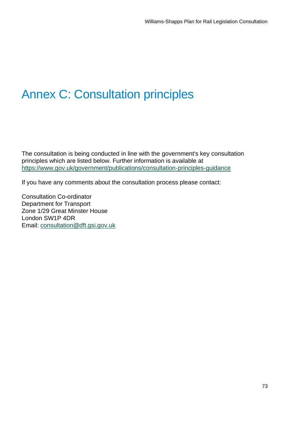# Annex C: Consultation principles

 The consultation is being conducted in line with the government's key consultation principles which are listed below. Further information is available at <https://www.gov.uk/government/publications/consultation-principles-guidance>

If you have any comments about the consultation process please contact:

 Zone 1/29 Great Minster House Consultation Co-ordinator Department for Transport London SW1P 4DR Email: [consultation@dft.gsi.gov.uk](mailto:consultation@dft.gsi.gov.uk)